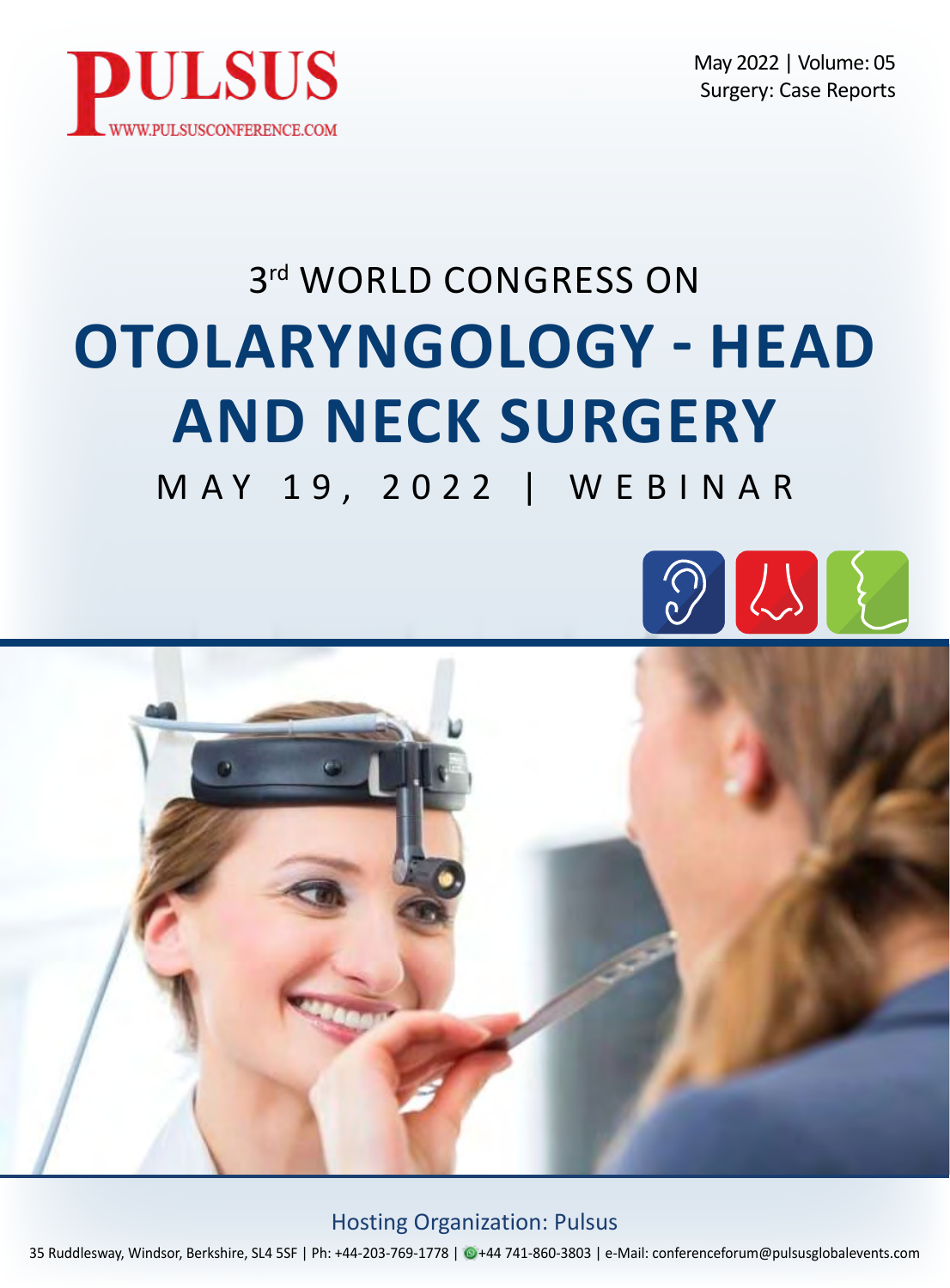

May 2022 | Volume: 05 Surgery: Case Reports

# 3rd WORLD CONGRESS ON **OTOLARYNGOLOGY - HEAD AND NECK SURGERY**

MAY 19, 2022 | WEBINAR





Hosting Organization: Pulsus

35 Ruddlesway, Windsor, Berkshire, SL4 5SF | Ph: +44-203-769-1778 | @+44 741-860-3803 | e-Mail: conferenceforum@pulsusglobalevents.com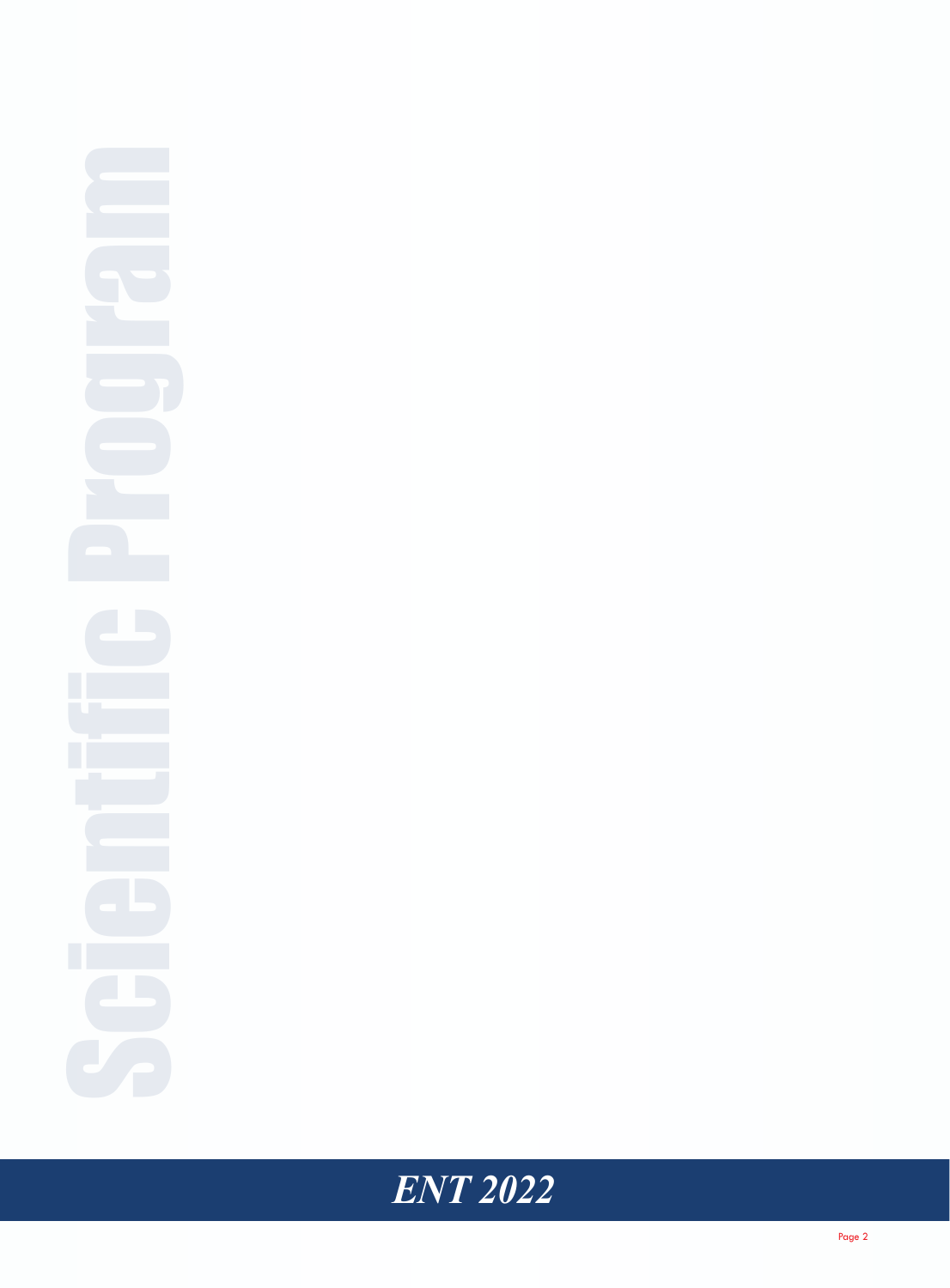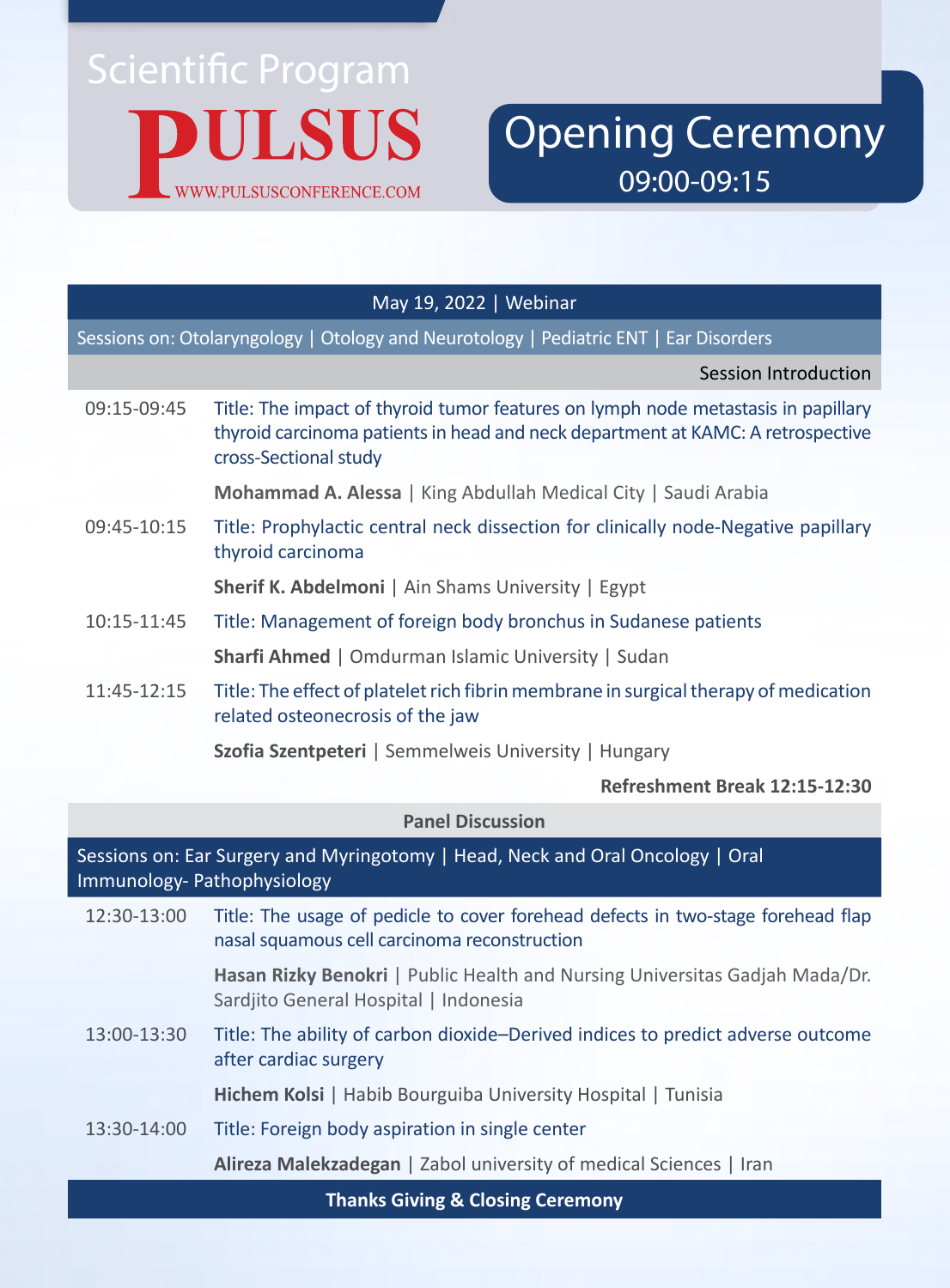

Opening Ceremony 09:00-09:15

### May 19, 2022 | Webinar

Sessions on: Otolaryngology | Otology and Neurotology | Pediatric ENT | Ear Disorders

Session Introduction

09:15-09:45 Title: The impact of thyroid tumor features on lymph node metastasis in papillary thyroid carcinoma patients in head and neck department at KAMC: A retrospective cross-Sectional study

**Mohammad A. Alessa** | King Abdullah Medical City | Saudi Arabia

09:45-10:15 Title: Prophylactic central neck dissection for clinically node-Negative papillary thyroid carcinoma

**Sherif K. Abdelmoni** | Ain Shams University | Egypt

- 10:15-11:45 Title: Management of foreign body bronchus in Sudanese patients **Sharfi Ahmed** | Omdurman Islamic University | Sudan
- 11:45-12:15 Title: The effect of platelet rich fibrin membrane in surgical therapy of medication related osteonecrosis of the jaw

**Szofia Szentpeteri** | Semmelweis University | Hungary

### **Refreshment Break 12:15-12:30**

### **Panel Discussion**

Sessions on: Ear Surgery and Myringotomy | Head, Neck and Oral Oncology | Oral Immunology- Pathophysiology

12:30-13:00 Title: The usage of pedicle to cover forehead defects in two-stage forehead flap nasal squamous cell carcinoma reconstruction

> **Hasan Rizky Benokri** | Public Health and Nursing Universitas Gadjah Mada/Dr. Sardjito General Hospital | Indonesia

13:00-13:30 Title: The ability of carbon dioxide–Derived indices to predict adverse outcome after cardiac surgery

**Hichem Kolsi** | Habib Bourguiba University Hospital | Tunisia

13:30-14:00 Title: Foreign body aspiration in single center

**Alireza Malekzadegan** | Zabol university of medical Sciences | Iran

**Thanks Giving & Closing Ceremony**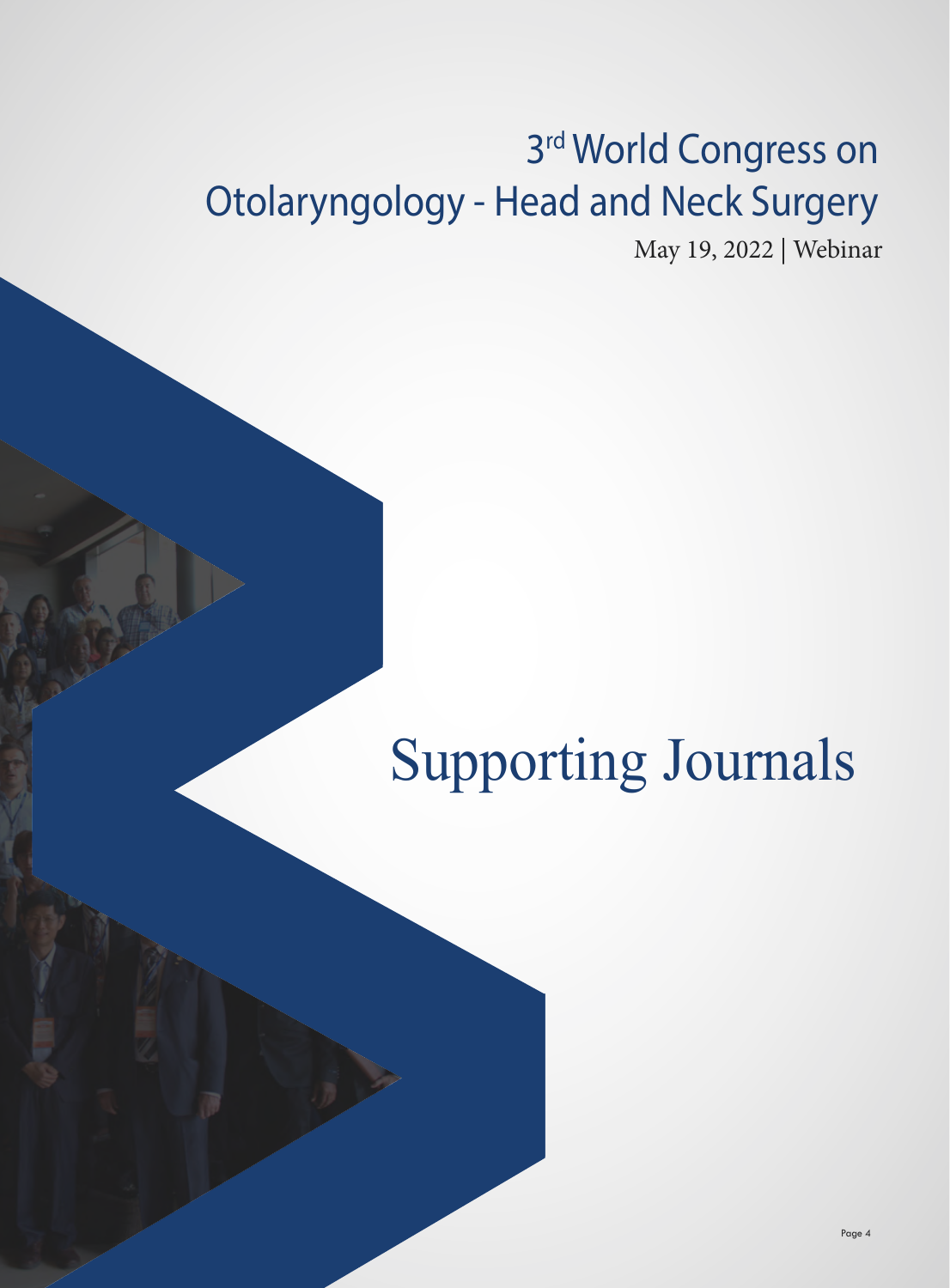# 3rd World Congress on Otolaryngology - Head and Neck Surgery

May 19, 2022 | Webinar

# Supporting Journals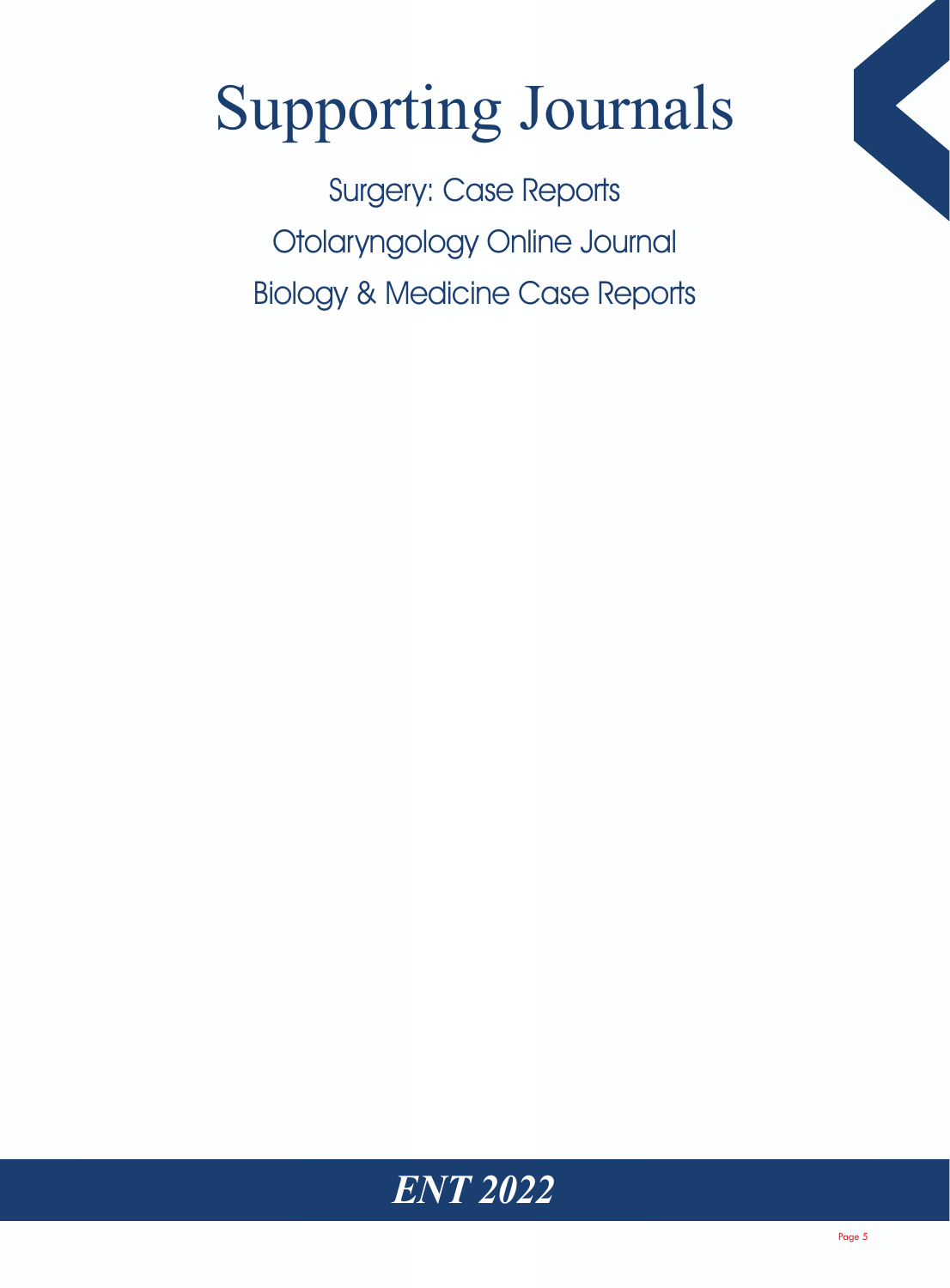# Supporting Journals

Surgery: Case Reports Otolaryngology Online Journal Biology & Medicine Case Reports

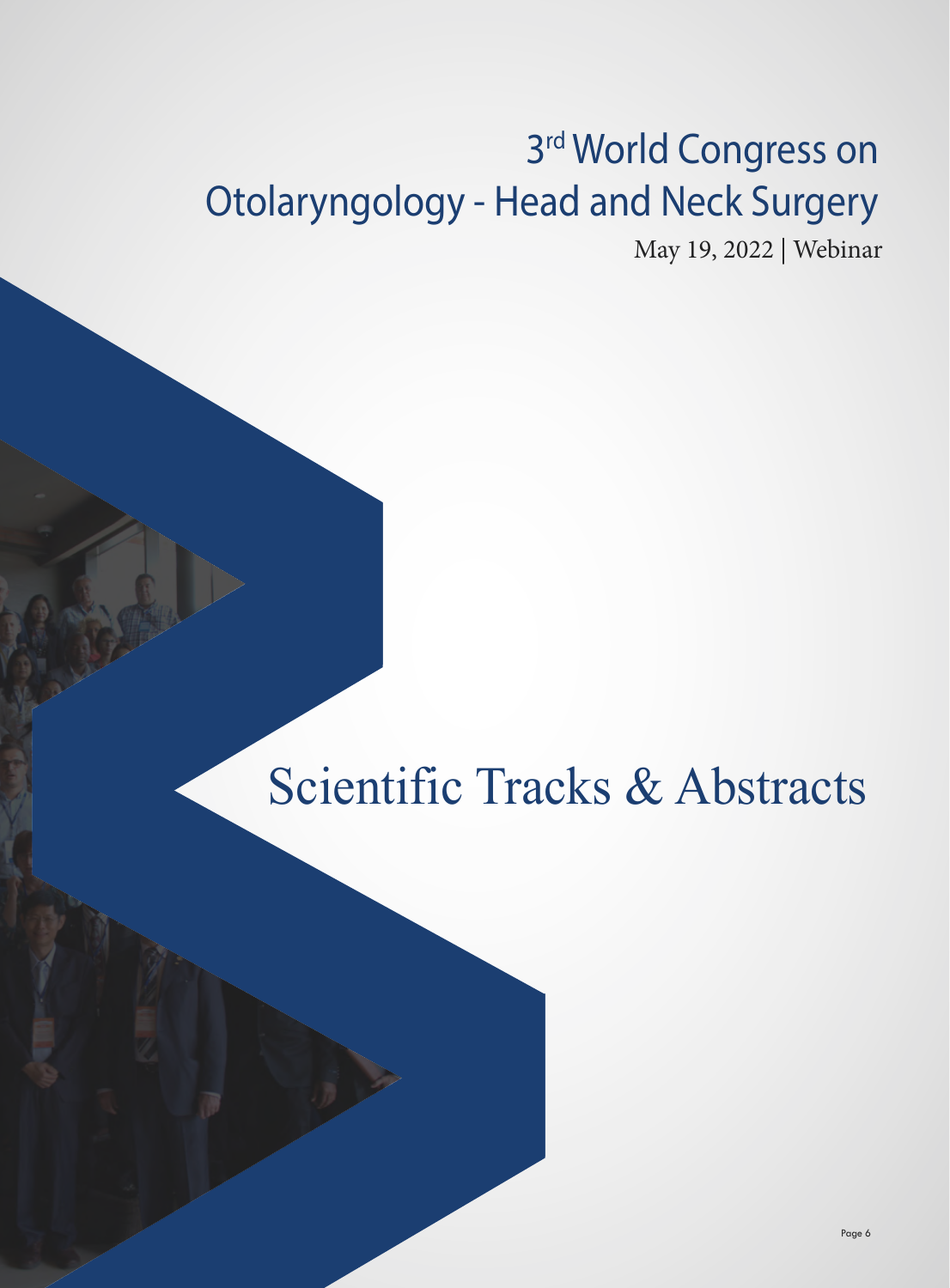# 3<sup>rd</sup> World Congress on Otolaryngology - Head and Neck Surgery

May 19, 2022 | Webinar

# Scientific Tracks & Abstracts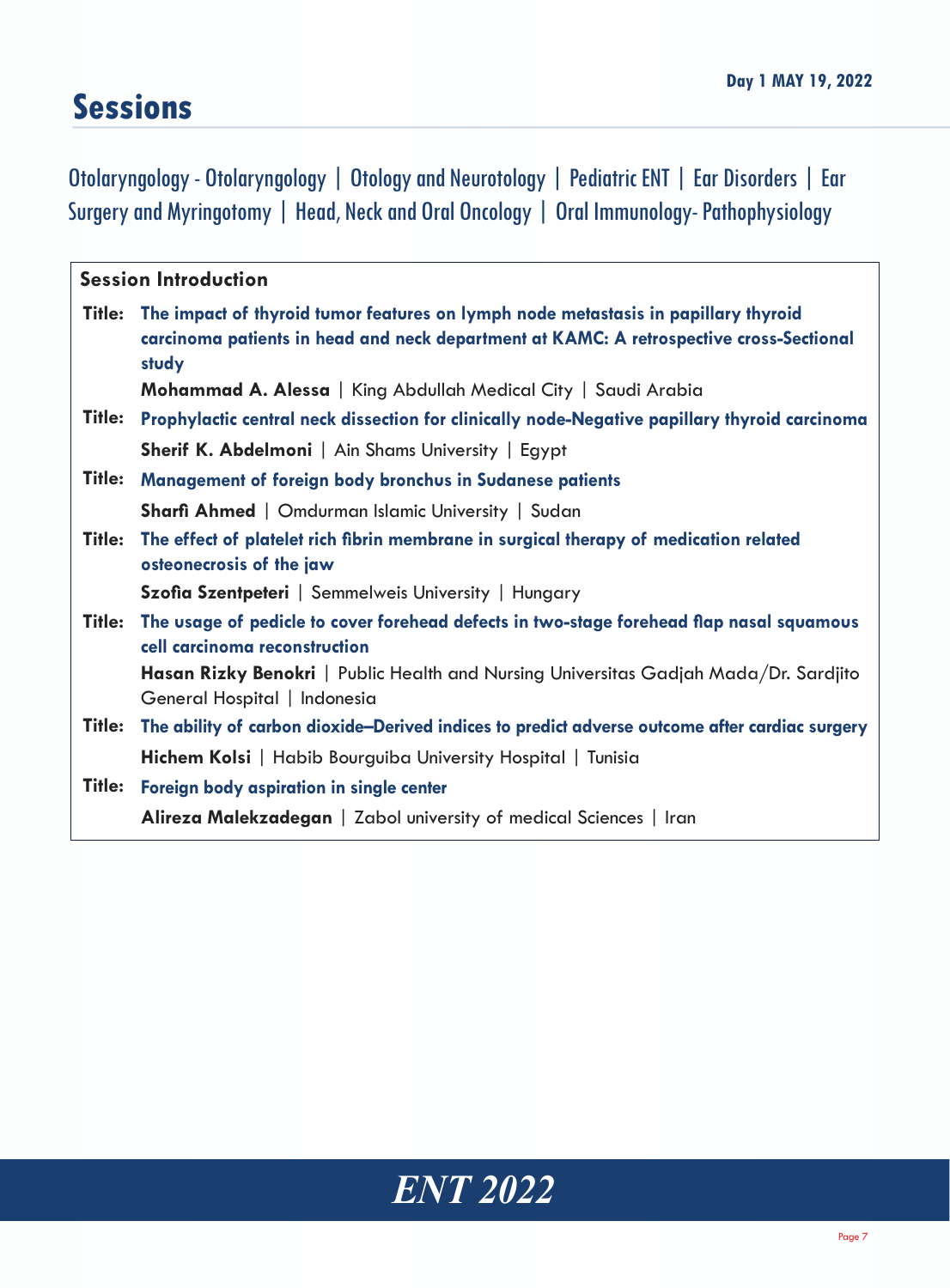# **Sessions**

Otolaryngology - Otolaryngology | Otology and Neurotology | Pediatric ENT | Ear Disorders | Ear Surgery and Myringotomy | Head, Neck and Oral Oncology | Oral Immunology- Pathophysiology

|        | <b>Session Introduction</b>                                                                                                                                                            |
|--------|----------------------------------------------------------------------------------------------------------------------------------------------------------------------------------------|
| Title: | The impact of thyroid tumor features on lymph node metastasis in papillary thyroid<br>carcinoma patients in head and neck department at KAMC: A retrospective cross-Sectional<br>study |
|        | Mohammad A. Alessa   King Abdullah Medical City   Saudi Arabia                                                                                                                         |
| Title: | Prophylactic central neck dissection for clinically node-Negative papillary thyroid carcinoma                                                                                          |
|        | <b>Sherif K. Abdelmoni</b>   Ain Shams University   Egypt                                                                                                                              |
| Title: | Management of foreign body bronchus in Sudanese patients                                                                                                                               |
|        | <b>Sharfi Ahmed</b>   Omdurman Islamic University   Sudan                                                                                                                              |
| Title: | The effect of platelet rich fibrin membrane in surgical therapy of medication related<br>osteonecrosis of the jaw                                                                      |
|        | Szofia Szentpeteri   Semmelweis University   Hungary                                                                                                                                   |
| Title: | The usage of pedicle to cover forehead defects in two-stage forehead flap nasal squamous<br>cell carcinoma reconstruction                                                              |
|        | Hasan Rizky Benokri   Public Health and Nursing Universitas Gadjah Mada/Dr. Sardjito<br>General Hospital   Indonesia                                                                   |
| Title: | The ability of carbon dioxide–Derived indices to predict adverse outcome after cardiac surgery                                                                                         |
|        | Hichem Kolsi   Habib Bourguiba University Hospital   Tunisia                                                                                                                           |
| Title: | Foreign body aspiration in single center                                                                                                                                               |
|        | Alireza Malekzadegan   Zabol university of medical Sciences   Iran                                                                                                                     |

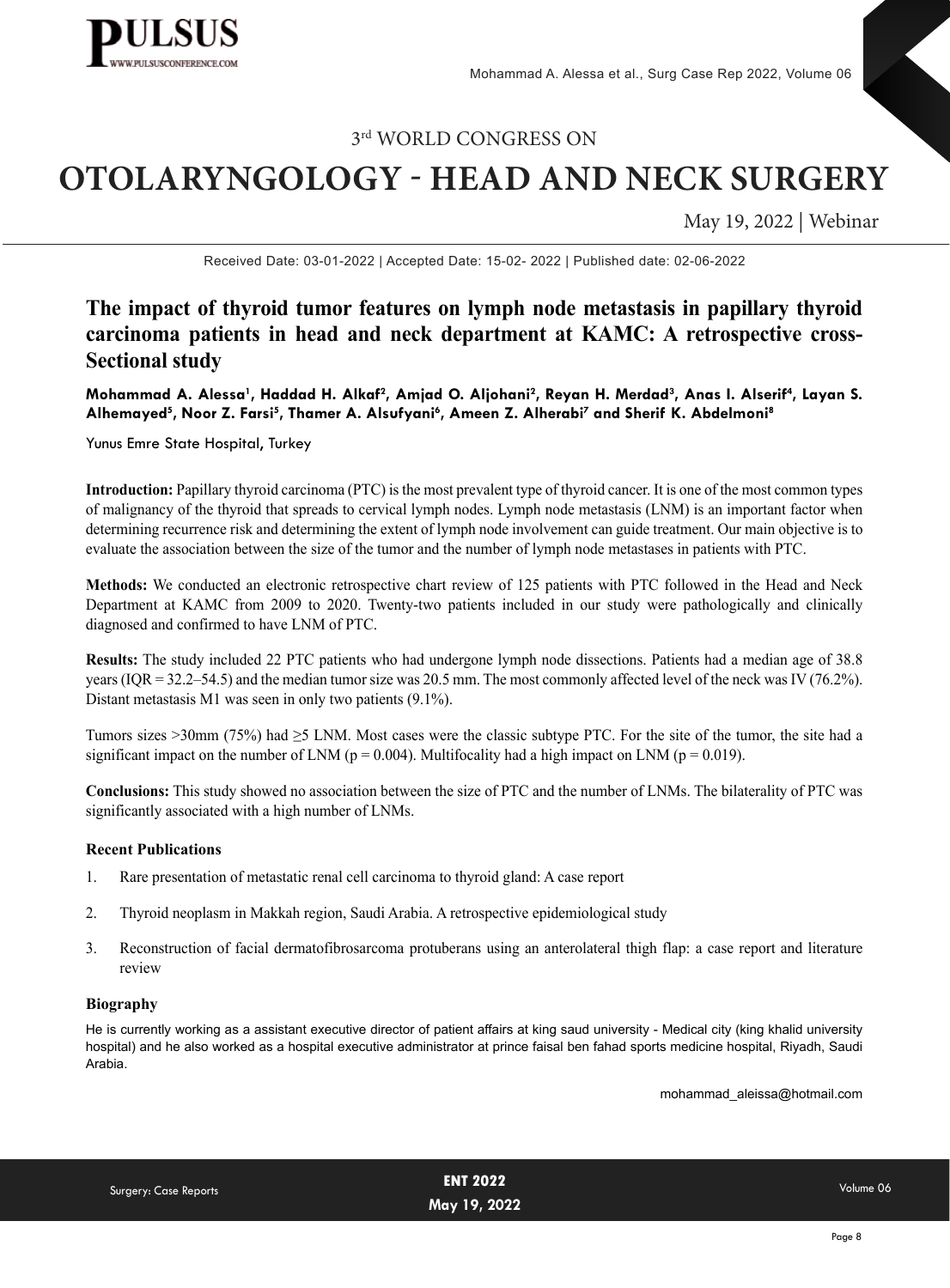

# **OTOLARYNGOLOGY - HEAD AND NECK SURGERY**

May 19, 2022 | Webinar

Received Date: 03-01-2022 | Accepted Date: 15-02- 2022 | Published date: 02-06-2022

## **The impact of thyroid tumor features on lymph node metastasis in papillary thyroid carcinoma patients in head and neck department at KAMC: A retrospective cross-Sectional study**

Mohammad A. Alessa<sup>1</sup>, Haddad H. Alkaf<sup>2</sup>, Amjad O. Aljohani<sup>2</sup>, Reyan H. Merdad<sup>3</sup>, Anas I. Alserif<sup>4</sup>, Layan S. **Alhemayed5 , Noor Z. Farsi5 , Thamer A. Alsufyani6 , Ameen Z. Alherabi7 and Sherif K. Abdelmoni8**

Yunus Emre State Hospital, Turkey

**Introduction:** Papillary thyroid carcinoma (PTC) is the most prevalent type of thyroid cancer. It is one of the most common types of malignancy of the thyroid that spreads to cervical lymph nodes. Lymph node metastasis (LNM) is an important factor when determining recurrence risk and determining the extent of lymph node involvement can guide treatment. Our main objective is to evaluate the association between the size of the tumor and the number of lymph node metastases in patients with PTC.

**Methods:** We conducted an electronic retrospective chart review of 125 patients with PTC followed in the Head and Neck Department at KAMC from 2009 to 2020. Twenty-two patients included in our study were pathologically and clinically diagnosed and confirmed to have LNM of PTC.

**Results:** The study included 22 PTC patients who had undergone lymph node dissections. Patients had a median age of 38.8 years (IQR = 32.2–54.5) and the median tumor size was 20.5 mm. The most commonly affected level of the neck was IV (76.2%). Distant metastasis M1 was seen in only two patients (9.1%).

Tumors sizes >30mm (75%) had ≥5 LNM. Most cases were the classic subtype PTC. For the site of the tumor, the site had a significant impact on the number of LNM ( $p = 0.004$ ). Multifocality had a high impact on LNM ( $p = 0.019$ ).

**Conclusions:** This study showed no association between the size of PTC and the number of LNMs. The bilaterality of PTC was significantly associated with a high number of LNMs.

#### **Recent Publications**

- 1. [Rare presentation of metastatic renal cell carcinoma to thyroid gland: A case report](https://pubmed.ncbi.nlm.nih.gov/32642062/)
- 2. [Thyroid neoplasm in Makkah region, Saudi Arabia. A retrospective epidemiological study](https://pubmed.ncbi.nlm.nih.gov/33294891/)
- 3. Recon[st](https://pubmed.ncbi.nlm.nih.gov/33294891/)ruction of facial dermatofibrosarcoma protuberans using an anterolateral thigh flap: a case report and literature review

#### **Biography**

He is currently working as a assistant executive director of patient affairs at king saud university - Medical city (king khalid university hospital) and he also worked as a hospital executive administrator at prince faisal ben fahad sports medicine hospital, Riyadh, Saudi Arabia.

mohammad\_aleissa@hotmail.com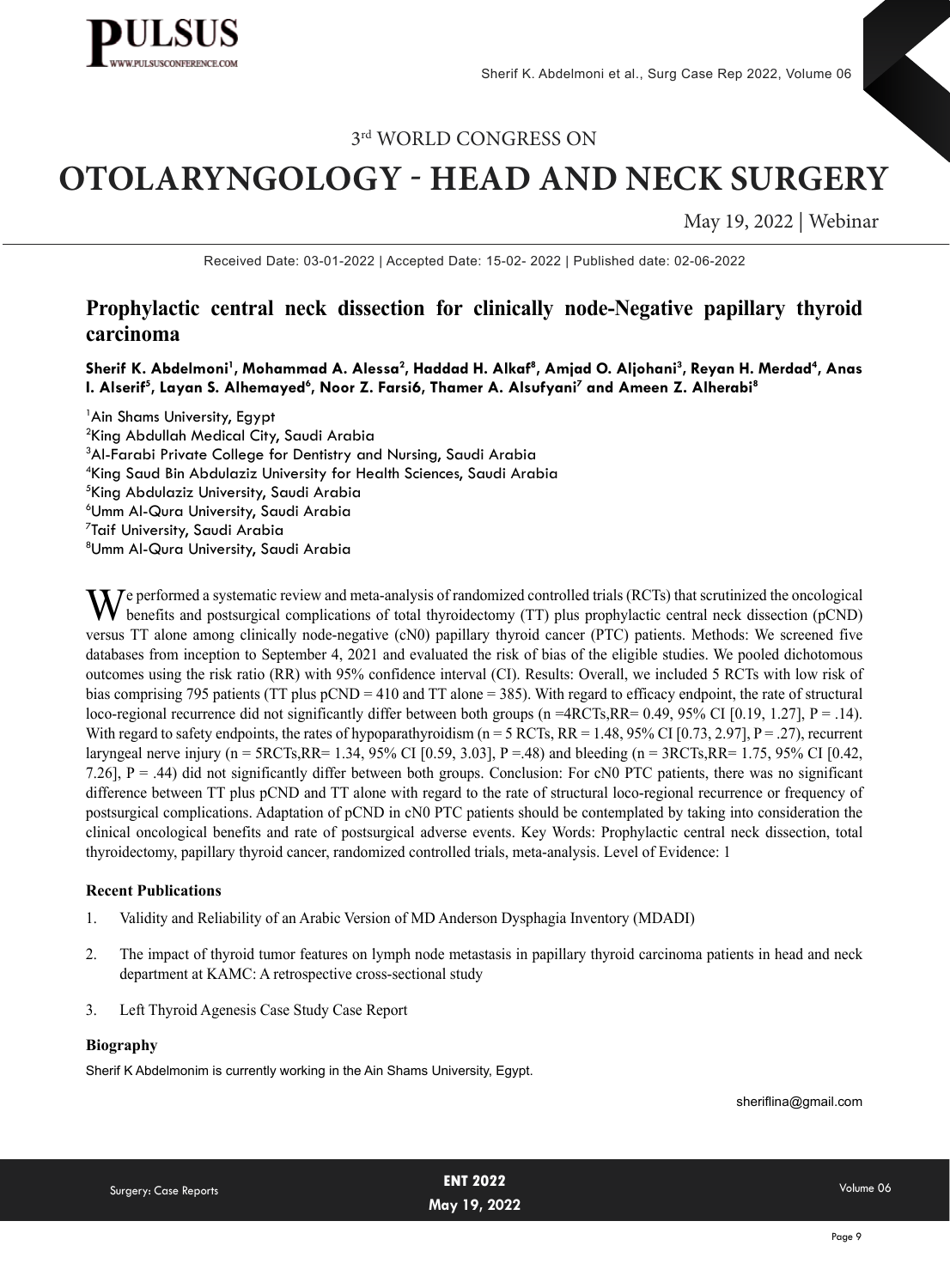

# **OTOLARYNGOLOGY - HEAD AND NECK SURGERY**

May 19, 2022 | Webinar

Received Date: 03-01-2022 | Accepted Date: 15-02- 2022 | Published date: 02-06-2022

## **Prophylactic central neck dissection for clinically node-Negative papillary thyroid carcinoma**

Sherif K. Abdelmoni<sup>1</sup>, Mohammad A. Alessa<sup>2</sup>, Haddad H. Alkaf<sup>8</sup>, Amjad O. Aljohani<sup>3</sup>, Reyan H. Merdad<sup>4</sup>, Anas **I. Alserif<sup>5</sup>, Layan S. Alhemayed<sup>6</sup>, Noor Z. Farsi6, Thamer A. Alsufyani<sup>7</sup> and Ameen Z. Alherabi<sup>8</sup>** 

<sup>1</sup> Ain Shams University, Egypt King Abdullah Medical City, Saudi Arabia <sup>3</sup>Al-Farabi Private College for Dentistry and Nursing, Saudi Arabia King Saud Bin Abdulaziz University for Health Sciences, Saudi Arabia King Abdulaziz University, Saudi Arabia Umm Al-Qura University, Saudi Arabia Taif University, Saudi Arabia Umm Al-Qura University, Saudi Arabia

 $M$  e performed a systematic review and meta-analysis of randomized controlled trials (RCTs) that scrutinized the oncological benefits and postsurgical complications of total thyroidectomy (TT) plus prophylactic central neck dissection (pCND) versus TT alone among clinically node-negative (cN0) papillary thyroid cancer (PTC) patients. Methods: We screened five databases from inception to September 4, 2021 and evaluated the risk of bias of the eligible studies. We pooled dichotomous outcomes using the risk ratio (RR) with 95% confidence interval (CI). Results: Overall, we included 5 RCTs with low risk of bias comprising 795 patients (TT plus pCND = 410 and TT alone = 385). With regard to efficacy endpoint, the rate of structural loco-regional recurrence did not significantly differ between both groups (n =4RCTs,RR= 0.49, 95% CI [0.19, 1.27], P = .14). With regard to safety endpoints, the rates of hypoparathyroidism ( $n = 5$  RCTs, RR = 1.48, 95% CI [0.73, 2.97], P = .27), recurrent laryngeal nerve injury (n = 5RCTs,RR= 1.34, 95% CI [0.59, 3.03], P =.48) and bleeding (n = 3RCTs,RR= 1.75, 95% CI [0.42, 7.26], P = .44) did not significantly differ between both groups. Conclusion: For cN0 PTC patients, there was no significant difference between TT plus pCND and TT alone with regard to the rate of structural loco-regional recurrence or frequency of postsurgical complications. Adaptation of pCND in cN0 PTC patients should be contemplated by taking into consideration the clinical oncological benefits and rate of postsurgical adverse events. Key Words: Prophylactic central neck dissection, total thyroidectomy, papillary thyroid cancer, randomized controlled trials, meta-analysis. Level of Evidence: 1

#### **Recent Publications**

- 1. [Validity and Reliability of an Arabic Version of MD Anderson Dysphagia Inventory \(MDADI\)](https://www.researchgate.net/publication/354101868_Validity_and_Reliability_of_an_Arabic_Version_of_MD_Anderson_Dysphagia_Inventory_MDADI)
- 2. [The impact of thyroid tumor features on lymph node metastasis in papillary thyroid carcinoma patients in head and neck](https://www.researchgate.net/publication/350319220_The_impact_of_thyroid_tumor_features_on_lymph_node_metastasis_in_papillary_thyroid_carcinoma_patients_in_head_and_neck_department_at_KAMC_A_retrospective_cross-sectional_study) [department at KAMC: A retrospective cross-sectional study](https://www.researchgate.net/publication/350319220_The_impact_of_thyroid_tumor_features_on_lymph_node_metastasis_in_papillary_thyroid_carcinoma_patients_in_head_and_neck_department_at_KAMC_A_retrospective_cross-sectional_study)
- 3. [Left Thyroid Agenesis Case Study Case Report](https://www.researchgate.net/publication/348135621_Left_Thyroid_Agenesis_Case_Study_Case_Report)

#### **Biography**

Sherif K Abdelmonim is currently working in the Ain Shams University, Egypt.

sheriflina@gmail.com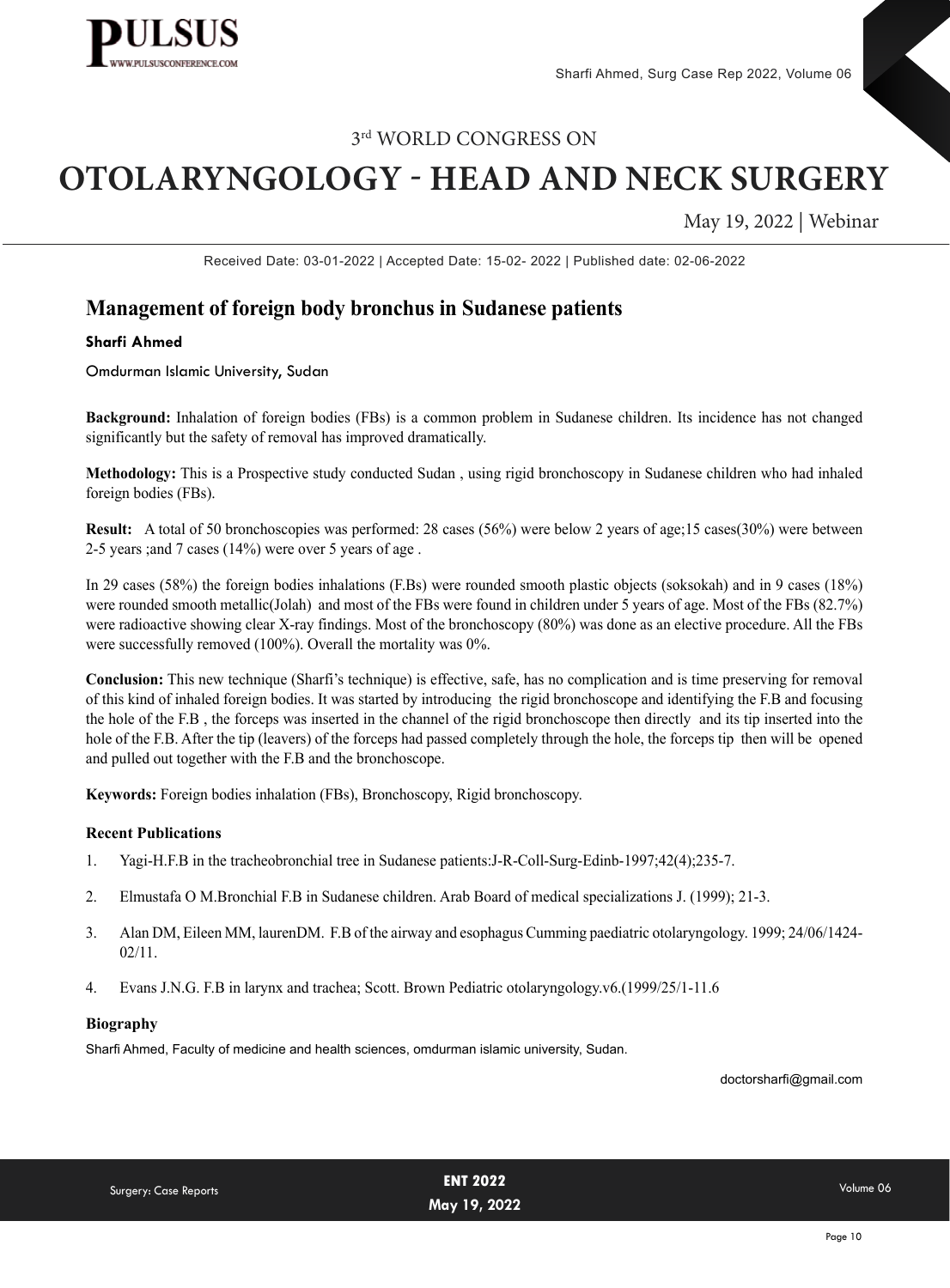

# **OTOLARYNGOLOGY - HEAD AND NECK SURGERY**

May 19, 2022 | Webinar

Received Date: 03-01-2022 | Accepted Date: 15-02- 2022 | Published date: 02-06-2022

### **Management of foreign body bronchus in Sudanese patients**

#### **Sharfi Ahmed**

Omdurman Islamic University, Sudan

**Background:** Inhalation of foreign bodies (FBs) is a common problem in Sudanese children. Its incidence has not changed significantly but the safety of removal has improved dramatically.

**Methodology:** This is a Prospective study conducted Sudan , using rigid bronchoscopy in Sudanese children who had inhaled foreign bodies (FBs).

**Result:** A total of 50 bronchoscopies was performed: 28 cases (56%) were below 2 years of age;15 cases(30%) were between 2-5 years ;and 7 cases (14%) were over 5 years of age .

In 29 cases (58%) the foreign bodies inhalations (F.Bs) were rounded smooth plastic objects (soksokah) and in 9 cases (18%) were rounded smooth metallic(Jolah) and most of the FBs were found in children under 5 years of age. Most of the FBs (82.7%) were radioactive showing clear X-ray findings. Most of the bronchoscopy (80%) was done as an elective procedure. All the FBs were successfully removed (100%). Overall the mortality was 0%.

**Conclusion:** This new technique (Sharfi's technique) is effective, safe, has no complication and is time preserving for removal of this kind of inhaled foreign bodies. It was started by introducing the rigid bronchoscope and identifying the F.B and focusing the hole of the F.B , the forceps was inserted in the channel of the rigid bronchoscope then directly and its tip inserted into the hole of the F.B. After the tip (leavers) of the forceps had passed completely through the hole, the forceps tip then will be opened and pulled out together with the F.B and the bronchoscope.

**Keywords:** Foreign bodies inhalation (FBs), Bronchoscopy, Rigid bronchoscopy.

#### **Recent Publications**

- 1. [Yagi-H.F.B in the tracheobronchial tree in Sudanese patients:J-R-Coll-Surg-Edinb-1997;42\(4\);235-7.](https://pubmed.ncbi.nlm.nih.gov/9276556/)
- 2. [Elmustafa O M.Bronchial F.B in Sudanese children. Arab Board of medical specializations J. \(1999\); 21-3.](https://www.google.com/search?q=Elmustafa+O+M.Bronchial+F.B+in+Sudanese+children.+Arab+Board+of+medical+specializations+J.+(1999)%3B+21-3.&rlz=1C1CHZN_enIN970IN970&oq=Elmustafa+O+M.Bronchial+F.B+in+Sudanese+children.+Arab+Board+of+medical+specializations+J.+(1999)%3B+21-3.&aqs=chrome..69i57.305j0j9&sourceid=chrome&ie=UTF-8)
- 3. [Alan DM, Eileen MM, laurenDM. F.B of the airway and esophagus Cumming paediatric otolaryngology. 1999; 24/06/1424-](https://www.google.com/search?q=Alan+DM%2C+Eileen+MM%2C+laurenDM.+F.B+of+the+airway+and+esophagus+Cumming+paediatric+otolaryngology.+1999%3B+24%2F06%2F1424-02%2F11.&rlz=1C1CHZN_enIN970IN970&oq=Alan+DM%2C+Eileen+MM%2C+laurenDM.++F.B+of+the+airway+and+esophagus+Cumming+paediatric+otolaryngology.+1999%3B+24%2F06%2F1424-02%2F11.&aqs=chrome..69i57.381j0j9&sourceid=chrome&ie=UTF-8) [02/11.](https://www.google.com/search?q=Alan+DM%2C+Eileen+MM%2C+laurenDM.+F.B+of+the+airway+and+esophagus+Cumming+paediatric+otolaryngology.+1999%3B+24%2F06%2F1424-02%2F11.&rlz=1C1CHZN_enIN970IN970&oq=Alan+DM%2C+Eileen+MM%2C+laurenDM.++F.B+of+the+airway+and+esophagus+Cumming+paediatric+otolaryngology.+1999%3B+24%2F06%2F1424-02%2F11.&aqs=chrome..69i57.381j0j9&sourceid=chrome&ie=UTF-8)
- 4. [Evans J.N.G. F.B in larynx and trachea; Scott. Brown Pediatric otolaryngology.v6.\(1999/25/1-11.6](https://www.google.com/search?q=Evans+J.N.G.+F.B+in+larynx+and+trachea%3B+Scott.+Brown+Pediatric+otolaryngology.v6.(1999%2F25%2F1-11.6.&rlz=1C1CHZN_enIN970IN970&oq=Evans+J.N.G.+F.B+in+larynx+and+trachea%3B+Scott.+Brown+Pediatric+otolaryngology.v6.(1999%2F25%2F1-11.6.&aqs=chrome..69i57.269j0j9&sourceid=chrome&ie=UTF-8)

#### **Biography**

Sharfi Ahmed, Faculty of medicine and health sciences, omdurman islamic university, Sudan.

doctorsharfi@gmail.com

| Surgery: Case Reports | <b>ENT 2022</b> | Volume 06 |
|-----------------------|-----------------|-----------|
|                       | May 19, 2022    |           |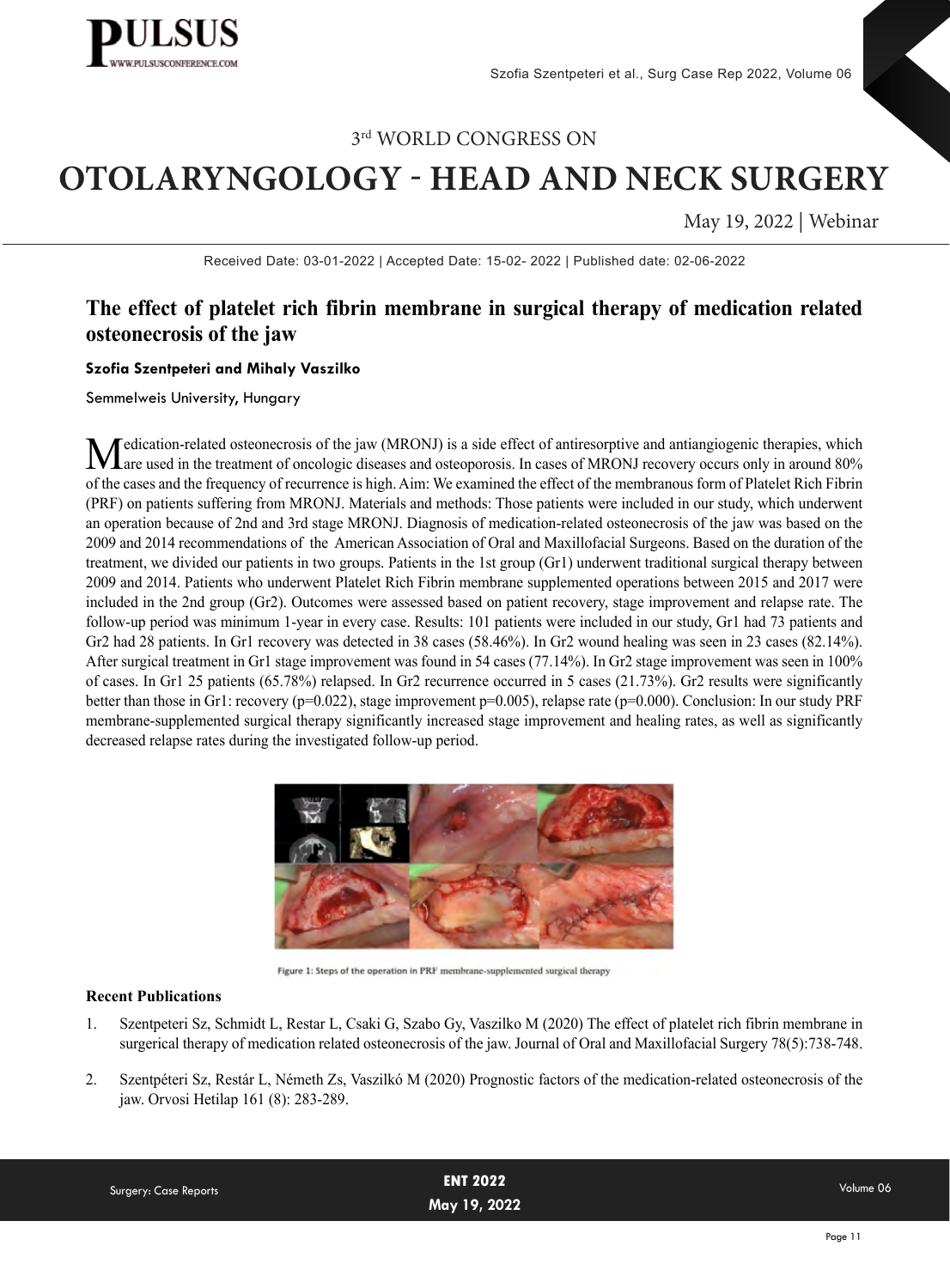

# **OTOLARYNGOLOGY - HEAD AND NECK SURGERY**

May 19, 2022 | Webinar

Received Date: 03-01-2022 | Accepted Date: 15-02- 2022 | Published date: 02-06-2022

## **The effect of platelet rich fibrin membrane in surgical therapy of medication related osteonecrosis of the jaw**

#### **Szofia Szentpeteri and Mihaly Vaszilko**

Semmelweis University, Hungary

Medication-related osteonecrosis of the jaw (MRONJ) is a side effect of antiresorptive and antiangiogenic therapies, which are used in the treatment of oncologic diseases and osteoporosis. In cases of MRONJ recovery occurs of the cases and the frequency of recurrence is high. Aim: We examined the effect of the membranous form of Platelet Rich Fibrin (PRF) on patients suffering from MRONJ. Materials and methods: Those patients were included in our study, which underwent an operation because of 2nd and 3rd stage MRONJ. Diagnosis of medication-related osteonecrosis of the jaw was based on the 2009 and 2014 recommendations of the American Association of Oral and Maxillofacial Surgeons. Based on the duration of the treatment, we divided our patients in two groups. Patients in the 1st group (Gr1) underwent traditional surgical therapy between 2009 and 2014. Patients who underwent Platelet Rich Fibrin membrane supplemented operations between 2015 and 2017 were included in the 2nd group (Gr2). Outcomes were assessed based on patient recovery, stage improvement and relapse rate. The follow-up period was minimum 1-year in every case. Results: 101 patients were included in our study, Gr1 had 73 patients and Gr2 had 28 patients. In Gr1 recovery was detected in 38 cases (58.46%). In Gr2 wound healing was seen in 23 cases (82.14%). After surgical treatment in Gr1 stage improvement was found in 54 cases (77.14%). In Gr2 stage improvement was seen in 100% of cases. In Gr1 25 patients (65.78%) relapsed. In Gr2 recurrence occurred in 5 cases (21.73%). Gr2 results were significantly better than those in Gr1: recovery (p=0.022), stage improvement p=0.005), relapse rate (p=0.000). Conclusion: In our study PRF membrane-supplemented surgical therapy significantly increased stage improvement and healing rates, as well as significantly decreased relapse rates during the investigated follow-up period.



Figure 1: Steps of the operation in PRF membrane-supplemented surgical therapy

#### **Recent Publications**

- 1. Szentpeteri Sz, Schmidt L, Restar L, Csaki G, Szabo Gy, Vaszilko M (2020) The effect of platelet rich fibrin membrane in surgerical therapy of medication related osteonecrosis of the jaw. Journal of Oral and Maxillofacial Surgery 78(5):738-748.
- 2. Szentpéteri Sz, Restár L, Németh Zs, Vaszilkó M (2020) Prognostic factors of the medication-related osteonecrosis of the jaw. Orvosi Hetilap 161 (8): 283-289.

| Surgery: Case Reports | <b>ENT 2022</b> | Volume 06 |
|-----------------------|-----------------|-----------|
|                       | May 19, 2022    |           |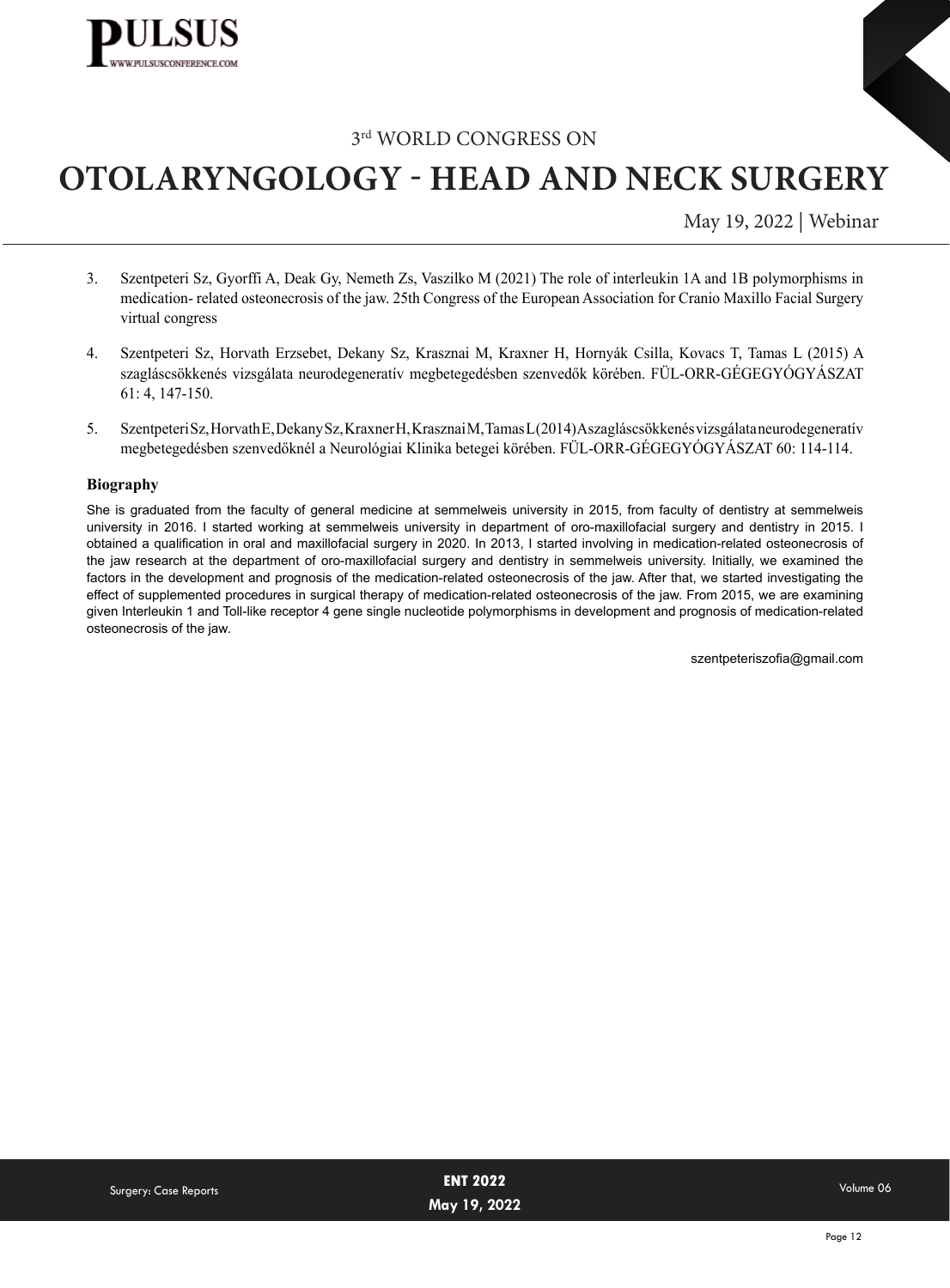

# **OTOLARYNGOLOGY - HEAD AND NECK SURGERY**

May 19, 2022 | Webinar

- 3. Szentpeteri Sz, Gyorffi A, Deak Gy, Nemeth Zs, Vaszilko M (2021) The role of interleukin 1A and 1B polymorphisms in medication- related osteonecrosis of the jaw. 25th Congress of the European Association for Cranio Maxillo Facial Surgery virtual congress
- 4. Szentpeteri Sz, Horvath Erzsebet, Dekany Sz, Krasznai M, Kraxner H, Hornyák Csilla, Kovacs T, Tamas L (2015) A szagláscsökkenés vizsgálata neurodegeneratív megbetegedésben szenvedők körében. FÜL-ORR-GÉGEGYÓGYÁSZAT 61: 4, 147-150.
- 5. Szentpeteri Sz, Horvath E, Dekany Sz, Kraxner H, Krasznai M, Tamas L (2014) A szagláscsökkenés vizsgálata neurodegenerat[ív](https://www.researchgate.net/publication/348135621_Left_Thyroid_Agenesis_Case_Study_Case_Report) megbetegedésben szenvedőknél a Neurológiai Klinika betegei körében. FÜL-ORR-GÉGEGYÓGYÁSZAT 60: 114-114.

#### **Biography**

She is graduated from the faculty of general medicine at semmelweis university in 2015, from faculty of dentistry at semmelweis university in 2016. I started working at semmelweis university in department of oro-maxillofacial surgery and dentistry in 2015. I obtained a qualification in oral and maxillofacial surgery in 2020. In 2013, I started involving in medication-related osteonecrosis of the jaw research at the department of oro-maxillofacial surgery and dentistry in semmelweis university. Initially, we examined the factors in the development and prognosis of the medication-related osteonecrosis of the jaw. After that, we started investigating the effect of supplemented procedures in surgical therapy of medication-related osteonecrosis of the jaw. From 2015, we are examining given Interleukin 1 and Toll-like receptor 4 gene single nucleotide polymorphisms in development and prognosis of medication-related osteonecrosis of the jaw.

szentpeteriszofia@gmail.com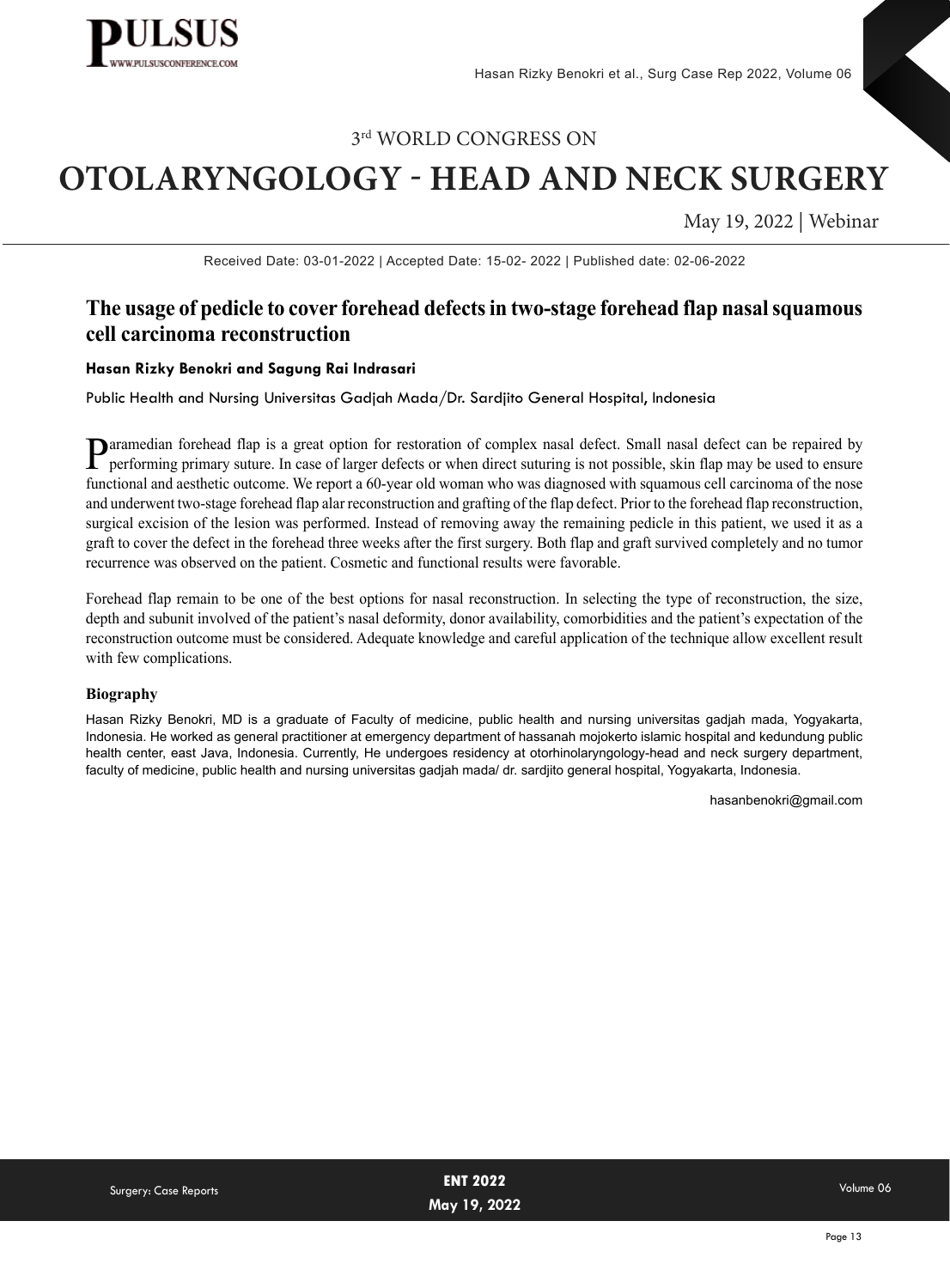

# **OTOLARYNGOLOGY - HEAD AND NECK SURGERY**

May 19, 2022 | Webinar

Received Date: 03-01-2022 | Accepted Date: 15-02- 2022 | Published date: 02-06-2022

## **The usage of pedicle to cover forehead defects in two-stage forehead flap nasal squamous cell carcinoma reconstruction**

#### **Hasan Rizky Benokri and Sagung Rai Indrasari**

Public Health and Nursing Universitas Gadjah Mada/Dr. Sardjito General Hospital, Indonesia

Paramedian forehead flap is a great option for restoration of complex nasal defect. Small nasal defect can be repaired by<br>performing primary suture. In case of larger defects or when direct suturing is not possible, skin f functional and aesthetic outcome. We report a 60-year old woman who was diagnosed with squamous cell carcinoma of the nose and underwent two-stage forehead flap alar reconstruction and grafting of the flap defect. Prior to the forehead flap reconstruction, surgical excision of the lesion was performed. Instead of removing away the remaining pedicle in this patient, we used it as a graft to cover the defect in the forehead three weeks after the first surgery. Both flap and graft survived completely and no tumor recurrence was observed on the patient. Cosmetic and functional results were favorable.

Forehead flap remain to be one of the best options for nasal reconstruction. In selecting the type of reconstruction, the size, depth and subunit involved of the patient's nasal deformity, donor availability, comorbidities and the patient's expectation of the reconstruction outcome must be considered. Adequate knowledge and careful application of the technique allow excellent result with few complications.

#### **Biography**

Hasan Rizky Benokri, MD is a graduate of Faculty of medicine, public health and nursing universitas gadjah mada, Yogyakarta, Indonesia. He worked as general practitioner at emergency department of hassanah mojokerto islamic hospital and kedundung public health center, east Java, Indonesia. Currently, He undergoes residency at otorhinolaryngology-head and neck surgery department, faculty of medicine, public health and nursing universitas gadjah mada/ dr. sardjito general hospital, Yogyakarta, Indonesia.

hasanbenokri@gmail.com

| Surgery: Case Reports | <b>ENT 2022</b> | Volume 06 |
|-----------------------|-----------------|-----------|
|                       | May 19, 2022    |           |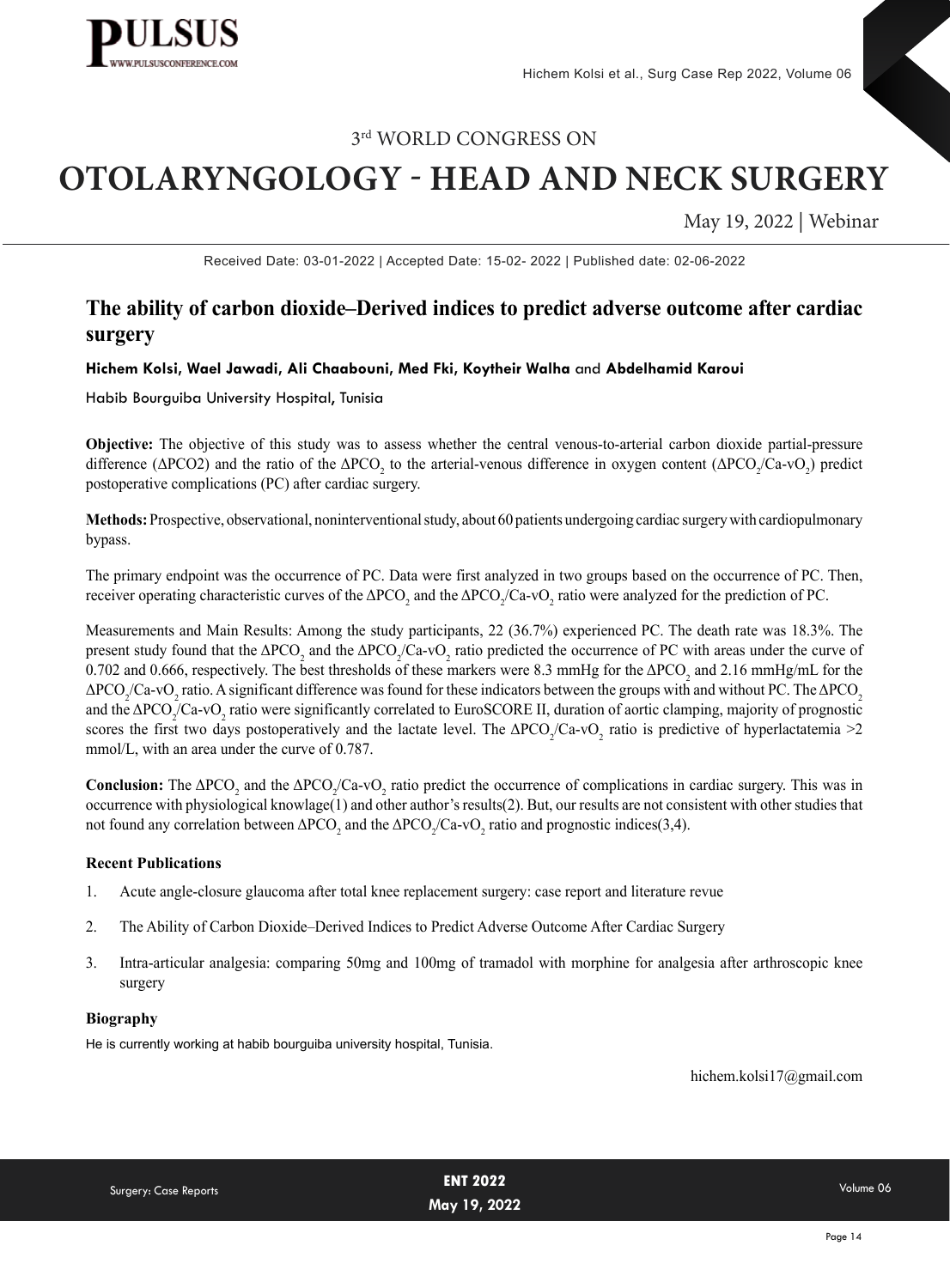

# **OTOLARYNGOLOGY - HEAD AND NECK SURGERY**

May 19, 2022 | Webinar

Received Date: 03-01-2022 | Accepted Date: 15-02- 2022 | Published date: 02-06-2022

## **The ability of carbon dioxide–Derived indices to predict adverse outcome after cardiac surgery**

#### **Hichem Kolsi, Wael Jawadi, Ali Chaabouni, Med Fki, Koytheir Walha** and **Abdelhamid Karoui**

#### Habib Bourguiba University Hospital, Tunisia

**Objective:** The objective of this study was to assess whether the central venous-to-arterial carbon dioxide partial-pressure difference ( $\Delta PCO2$ ) and the ratio of the  $\Delta PCO_2$  to the arterial-venous difference in oxygen content ( $\Delta PCO_2/Ca$ -vO<sub>2</sub>) predict postoperative complications (PC) after cardiac surgery.

**Methods:** Prospective, observational, noninterventional study, about 60 patients undergoing cardiac surgery with cardiopulmonary bypass.

The primary endpoint was the occurrence of PC. Data were first analyzed in two groups based on the occurrence of PC. Then, receiver operating characteristic curves of the ΔPCO<sub>2</sub> and the ΔPCO<sub>2</sub>/Ca-vO<sub>2</sub> ratio were analyzed for the prediction of PC.

Measurements and Main Results: Among the study participants, 22 (36.7%) experienced PC. The death rate was 18.3%. The present study found that the ΔPCO<sub>2</sub> and the ΔPCO<sub>2</sub>/Ca-vO<sub>2</sub> ratio predicted the occurrence of PC with areas under the curve of 0.702 and 0.666, respectively. The best thresholds of these markers were 8.3 mmHg for the  $\Delta$ PCO<sub>2</sub> and 2.16 mmHg/mL for the ΔPCO<sub>2</sub>/Ca-vO<sub>2</sub> ratio. A significant difference was found for these indicators between the groups with and without PC. The ΔPCO<sub>2</sub> and the  $\Delta PCO_2$ /Ca-vO<sub>2</sub> ratio were significantly correlated to EuroSCORE II, duration of aortic clamping, majority of prognostic scores the first two days postoperatively and the lactate level. The  $\Delta PCO_2/Ca$ -v $O_2$  ratio is predictive of hyperlactatemia >2 mmol/L, with an area under the curve of 0.787.

**Conclusion:** The  $\triangle PCO_2$  and the  $\triangle PCO_2/Ca$ -vO<sub>2</sub> ratio predict the occurrence of complications in cardiac surgery. This was in occurrence with physiological knowlage(1) and other author's results(2). But, our results are not consistent with other studies that not found any correlation between ΔPCO<sub>2</sub> and the ΔPCO<sub>2</sub>/Ca-vO<sub>2</sub> ratio and prognostic indices(3,4).

#### **Recent Publications**

- 1. [Acute angle-closure glaucoma after total knee replacement surgery: case report and literature revue](https://www.researchgate.net/publication/358096600_Acute_angle-closure_glaucoma_after_total_knee_replacement_surgery_case_report_and_literature_revue)
- 2. [The Ability of Carbon Dioxide–Derived Indices to Predict Adverse Outcome After Cardiac Surgery](https://www.researchgate.net/publication/351323183_The_Ability_of_Carbon_Dioxide-Derived_Indices_to_Predict_Adverse_Outcome_After_Cardiac_Surgery)
- 3. [Intra-articular analgesia: comparing 50mg and 100mg of tramadol with morphine for analgesia after arthroscopic knee](https://www.researchgate.net/publication/320273273_Intra-articular_analgesia_comparing_50mg_and_100mg_of_tramadol_with_morphine_for_analgesia_after_arthroscopic_knee_surgery)  [surgery](https://www.researchgate.net/publication/320273273_Intra-articular_analgesia_comparing_50mg_and_100mg_of_tramadol_with_morphine_for_analgesia_after_arthroscopic_knee_surgery)

#### **Biography**

He is currently working at habib bourguiba university hospital, Tunisia.

hichem.kolsi17@gmail.com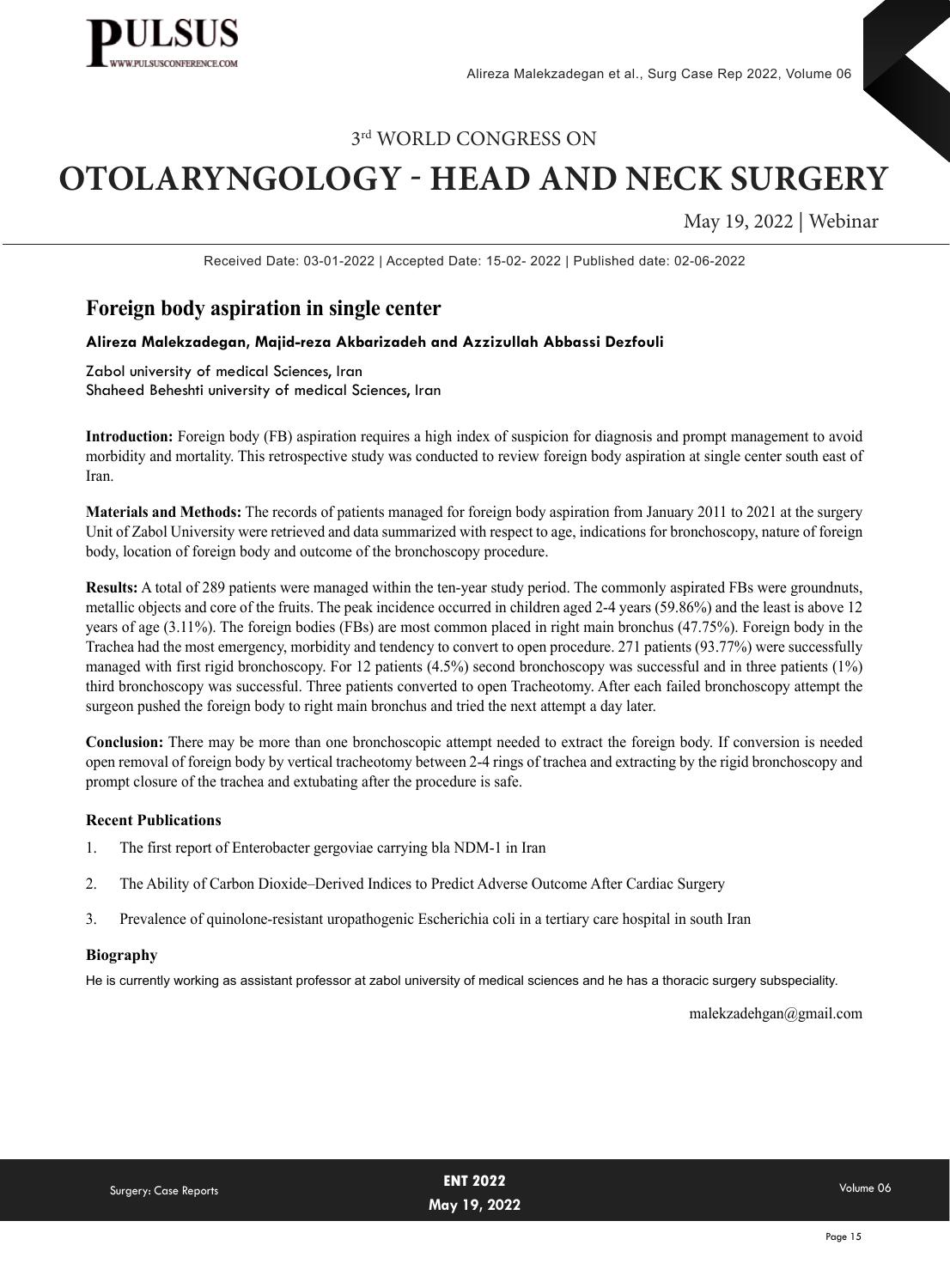

# **OTOLARYNGOLOGY - HEAD AND NECK SURGERY**

May 19, 2022 | Webinar

Received Date: 03-01-2022 | Accepted Date: 15-02- 2022 | Published date: 02-06-2022

## **Foreign body aspiration in single center**

#### **Alireza Malekzadegan, Majid-reza Akbarizadeh and Azzizullah Abbassi Dezfouli**

Zabol university of medical Sciences, Iran Shaheed Beheshti university of medical Sciences, Iran

**Introduction:** Foreign body (FB) aspiration requires a high index of suspicion for diagnosis and prompt management to avoid morbidity and mortality. This retrospective study was conducted to review foreign body aspiration at single center south east of Iran.

**Materials and Methods:** The records of patients managed for foreign body aspiration from January 2011 to 2021 at the surgery Unit of Zabol University were retrieved and data summarized with respect to age, indications for bronchoscopy, nature of foreign body, location of foreign body and outcome of the bronchoscopy procedure.

**Results:** A total of 289 patients were managed within the ten-year study period. The commonly aspirated FBs were groundnuts, metallic objects and core of the fruits. The peak incidence occurred in children aged 2-4 years (59.86%) and the least is above 12 years of age (3.11%). The foreign bodies (FBs) are most common placed in right main bronchus (47.75%). Foreign body in the Trachea had the most emergency, morbidity and tendency to convert to open procedure. 271 patients (93.77%) were successfully managed with first rigid bronchoscopy. For 12 patients (4.5%) second bronchoscopy was successful and in three patients (1%) third bronchoscopy was successful. Three patients converted to open Tracheotomy. After each failed bronchoscopy attempt the surgeon pushed the foreign body to right main bronchus and tried the next attempt a day later.

**Conclusion:** There may be more than one bronchoscopic attempt needed to extract the foreign body. If conversion is needed open removal of foreign body by vertical tracheotomy between 2-4 rings of trachea and extracting by the rigid bronchoscopy and prompt closure of the trachea and extubating after the procedure is safe.

#### **Recent Publications**

- 1. The first report of Enterobacter gergoviae carrying bla NDM-1 in Iran
- 2. [The Ability of Carbon Dioxide–Derived Indices to Predict Adverse Outcome After Cardiac Surgery](https://www.researchgate.net/publication/351323183_The_Ability_of_Carbon_Dioxide-Derived_Indices_to_Predict_Adverse_Outcome_After_Cardiac_Surgery)
- 3. Prevalence of quinolone-resistant uropathogenic Escherichia coli in a tertiary care hospital in south Iran

#### **Biography**

He is currently working as assistant professor at zabol university of medical sciences and he has a thoracic surgery subspeciality.

malekzadehgan@gmail.com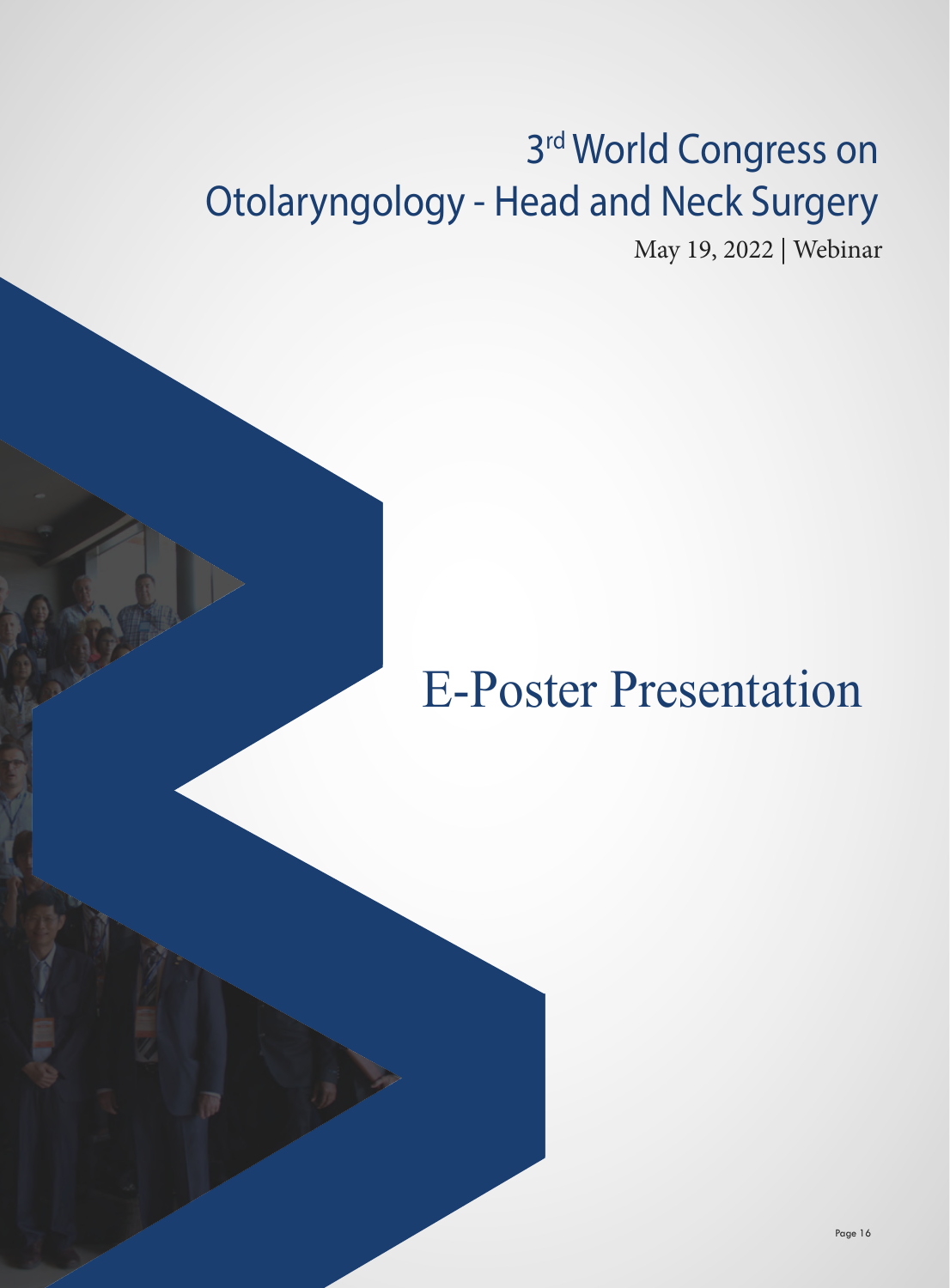# 3rd World Congress on Otolaryngology - Head and Neck Surgery

May 19, 2022 | Webinar

# E-Poster Presentation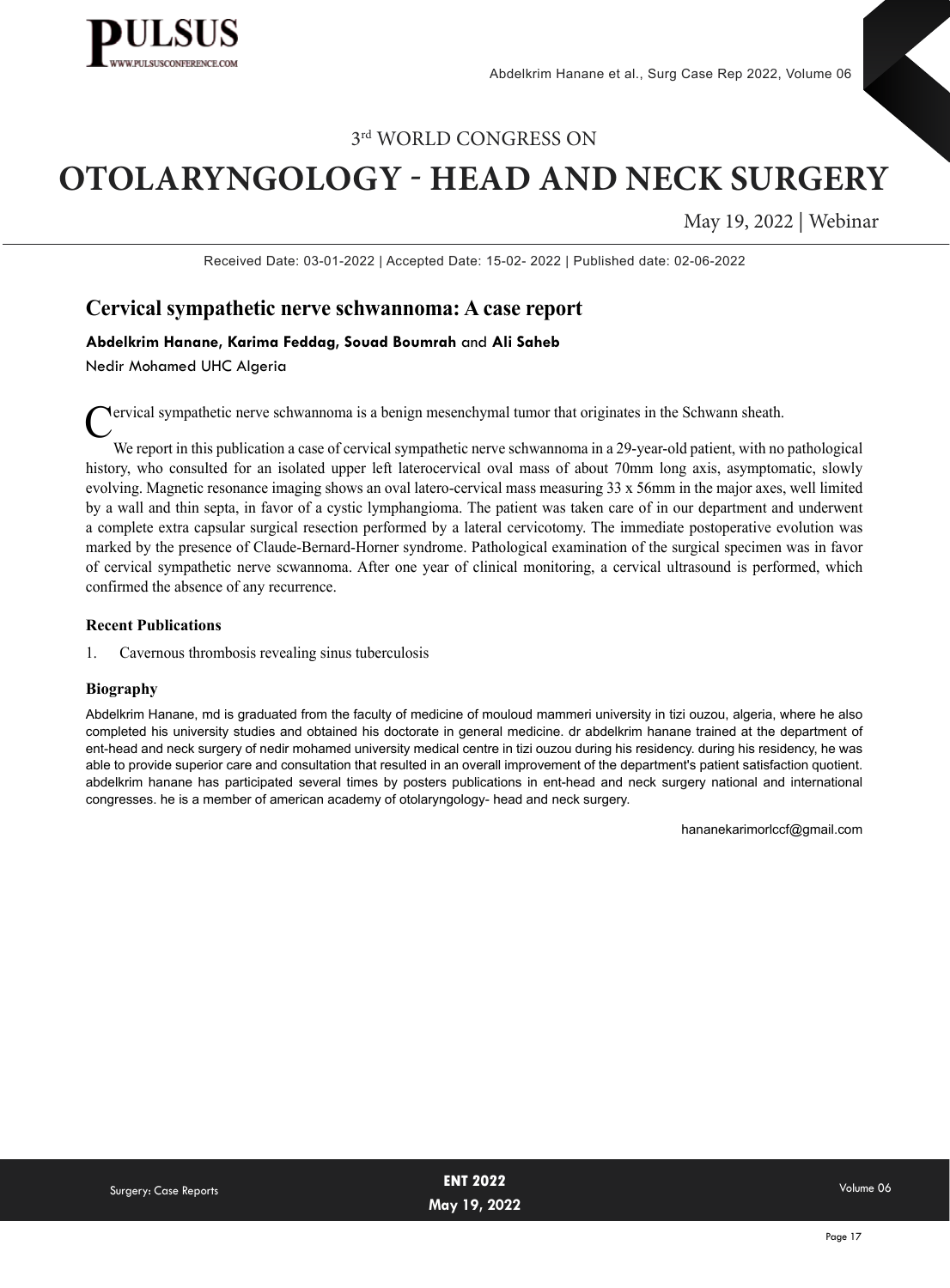

# **OTOLARYNGOLOGY - HEAD AND NECK SURGERY**

May 19, 2022 | Webinar

Received Date: 03-01-2022 | Accepted Date: 15-02- 2022 | Published date: 02-06-2022

### **Cervical sympathetic nerve schwannoma: A case report**

#### **Abdelkrim Hanane, Karima Feddag, Souad Boumrah** and **Ali Saheb**

Nedir Mohamed UHC Algeria

Cervical sympathetic nerve schwannoma is a benign mesenchymal tumor that originates in the Schwann sheath.

We report in this publication a case of cervical sympathetic nerve schwannoma in a 29-year-old patient, with no pathological history, who consulted for an isolated upper left laterocervical oval mass of about 70mm long axis, asymptomatic, slowly evolving. Magnetic resonance imaging shows an oval latero-cervical mass measuring 33 x 56mm in the major axes, well limited by a wall and thin septa, in favor of a cystic lymphangioma. The patient was taken care of in our department and underwent a complete extra capsular surgical resection performed by a lateral cervicotomy. The immediate postoperative evolution was marked by the presence of Claude-Bernard-Horner syndrome. Pathological examination of the surgical specimen was in favor of cervical sympathetic nerve scwannoma. After one year of clinical monitoring, a cervical ultrasound is performed, which confirmed the absence of any recurrence.

#### **Recent Publications**

1. Cavernous thrombosis revealing sinus tuberculosis

#### **Biography**

Abdelkrim Hanane, md is graduated from the faculty of medicine of mouloud mammeri university in tizi ouzou, algeria, where he also completed his university studies and obtained his doctorate in general medicine. dr abdelkrim hanane trained at the department of ent-head and neck surgery of nedir mohamed university medical centre in tizi ouzou during his residency. during his residency, he was able to provide superior care and consultation that resulted in an overall improvement of the department's patient satisfaction quotient. abdelkrim hanane has participated several times by posters publications in ent-head and neck surgery national and international congresses. he is a member of american academy of otolaryngology- head and neck surgery.

hananekarimorlccf@gmail.com

|                       | <b>ENT 2022</b> | Volume 06 |
|-----------------------|-----------------|-----------|
| Surgery: Case Reports | May 19, 2022    |           |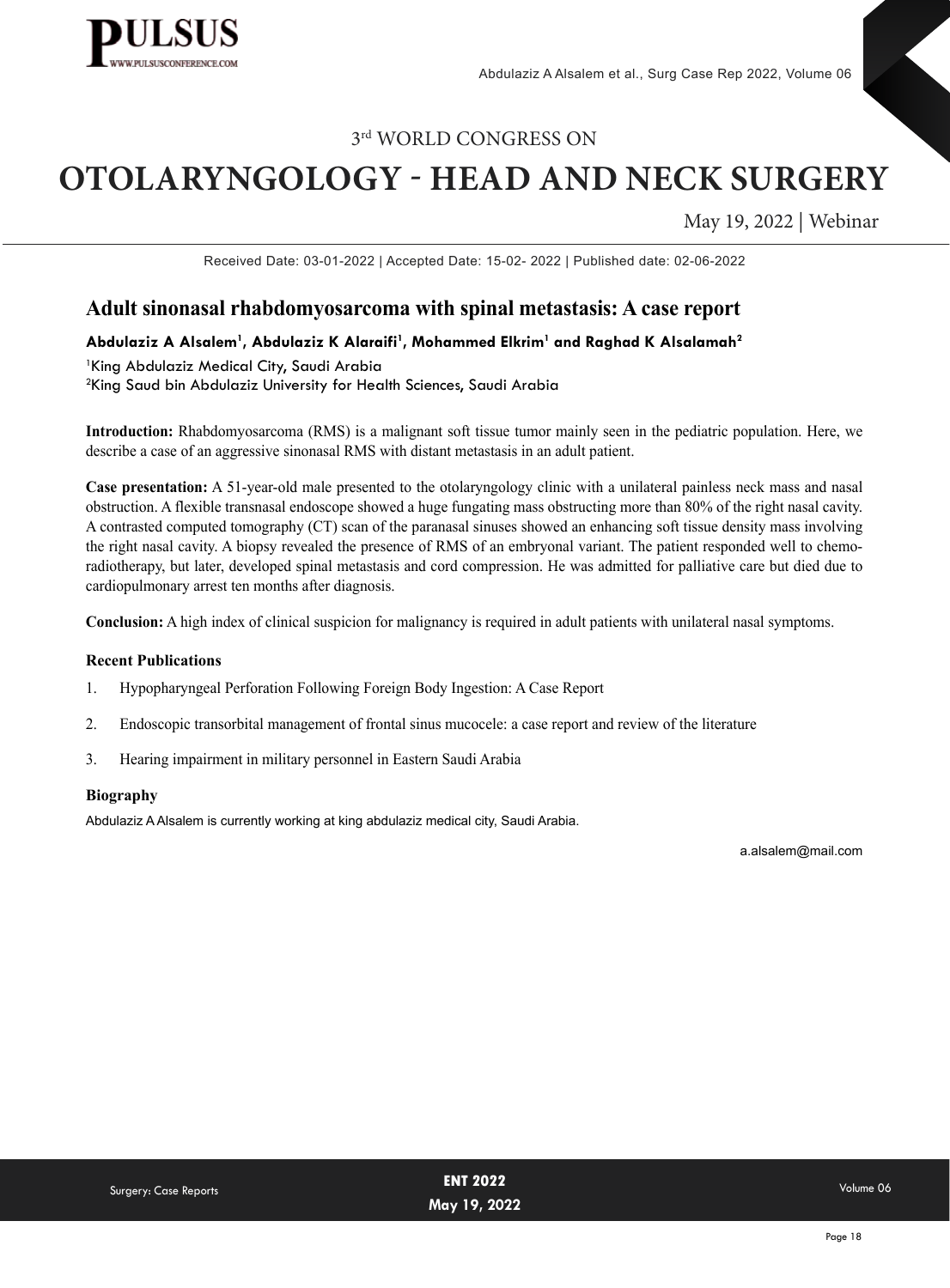

# **OTOLARYNGOLOGY - HEAD AND NECK SURGERY**

May 19, 2022 | Webinar

Received Date: 03-01-2022 | Accepted Date: 15-02- 2022 | Published date: 02-06-2022

### **Adult sinonasal rhabdomyosarcoma with spinal metastasis: A case report**

#### **Abdulaziz A Alsalem1 , Abdulaziz K Alaraifi1 , Mohammed Elkrim1 and Raghad K Alsalamah2**

1 King Abdulaziz Medical City, Saudi Arabia 2 King Saud bin Abdulaziz University for Health Sciences, Saudi Arabia

**Introduction:** Rhabdomyosarcoma (RMS) is a malignant soft tissue tumor mainly seen in the pediatric population. Here, we describe a case of an aggressive sinonasal RMS with distant metastasis in an adult patient.

**Case presentation:** A 51-year-old male presented to the otolaryngology clinic with a unilateral painless neck mass and nasal obstruction. A flexible transnasal endoscope showed a huge fungating mass obstructing more than 80% of the right nasal cavity. A contrasted computed tomography (CT) scan of the paranasal sinuses showed an enhancing soft tissue density mass involving the right nasal cavity. A biopsy revealed the presence of RMS of an embryonal variant. The patient responded well to chemoradiotherapy, but later, developed spinal metastasis and cord compression. He was admitted for palliative care but died due to cardiopulmonary arrest ten months after diagnosis.

**Conclusion:** A high index of clinical suspicion for malignancy is required in adult patients with unilateral nasal symptoms.

#### **Recent Publications**

- 1. Hypopharyngeal Perforation Following Foreign Body Ingestion: A Case Report
- 2. Endoscopic transorbital management of frontal sinus mucocele: a case report and review of the literature
- 3. Hearing impairment in military personnel in Eastern Saudi Arabia

#### **Biography**

Abdulaziz A Alsalem is currently working at king abdulaziz medical city, Saudi Arabia.

a.alsalem@mail.com

| <b>Surgery: Case Reports</b> | <b>ENT 2022</b> | Volume 06 |
|------------------------------|-----------------|-----------|
|                              | May 19, 2022    |           |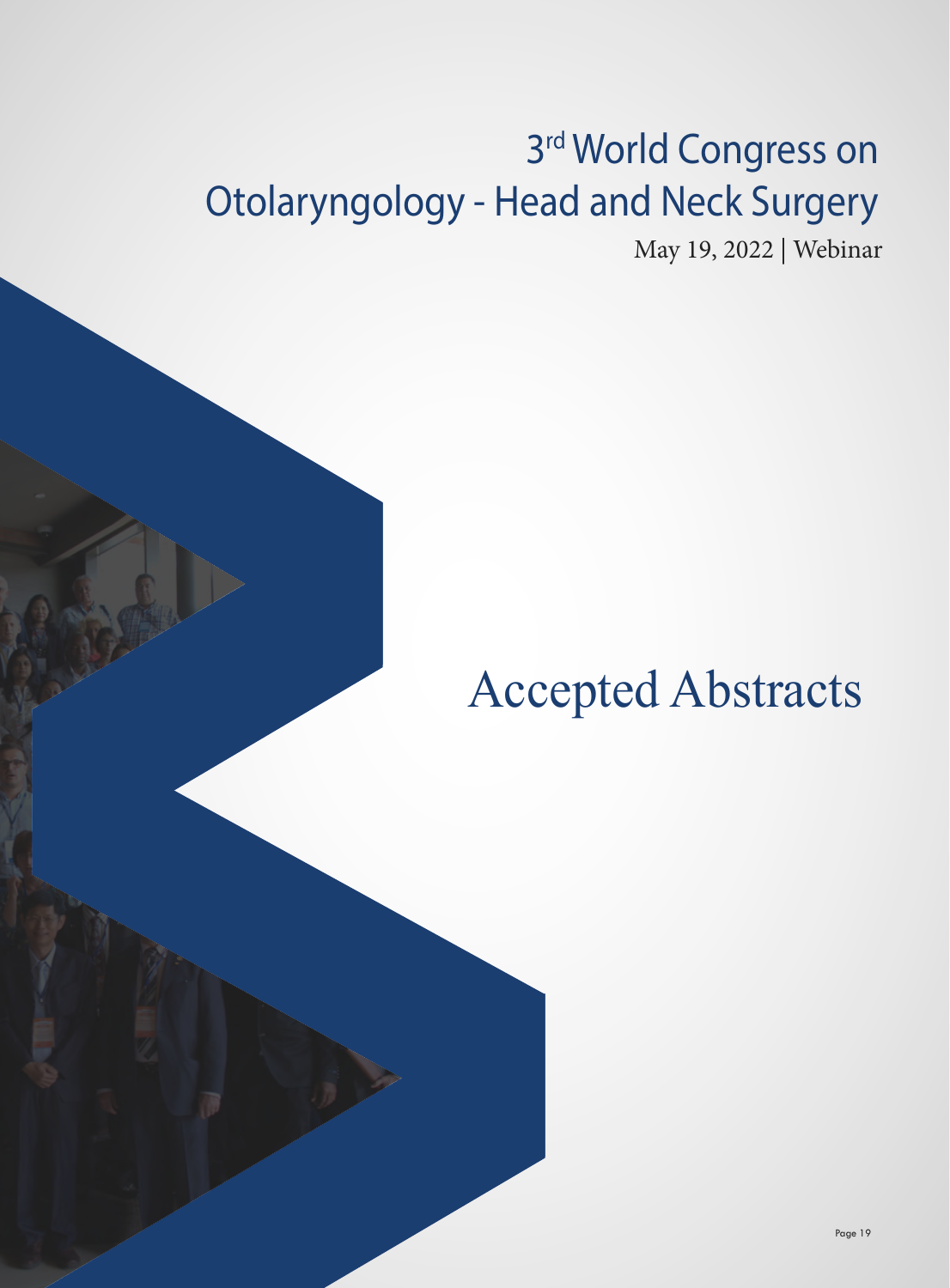# 3rd World Congress on Otolaryngology - Head and Neck Surgery

May 19, 2022 | Webinar

# Accepted Abstracts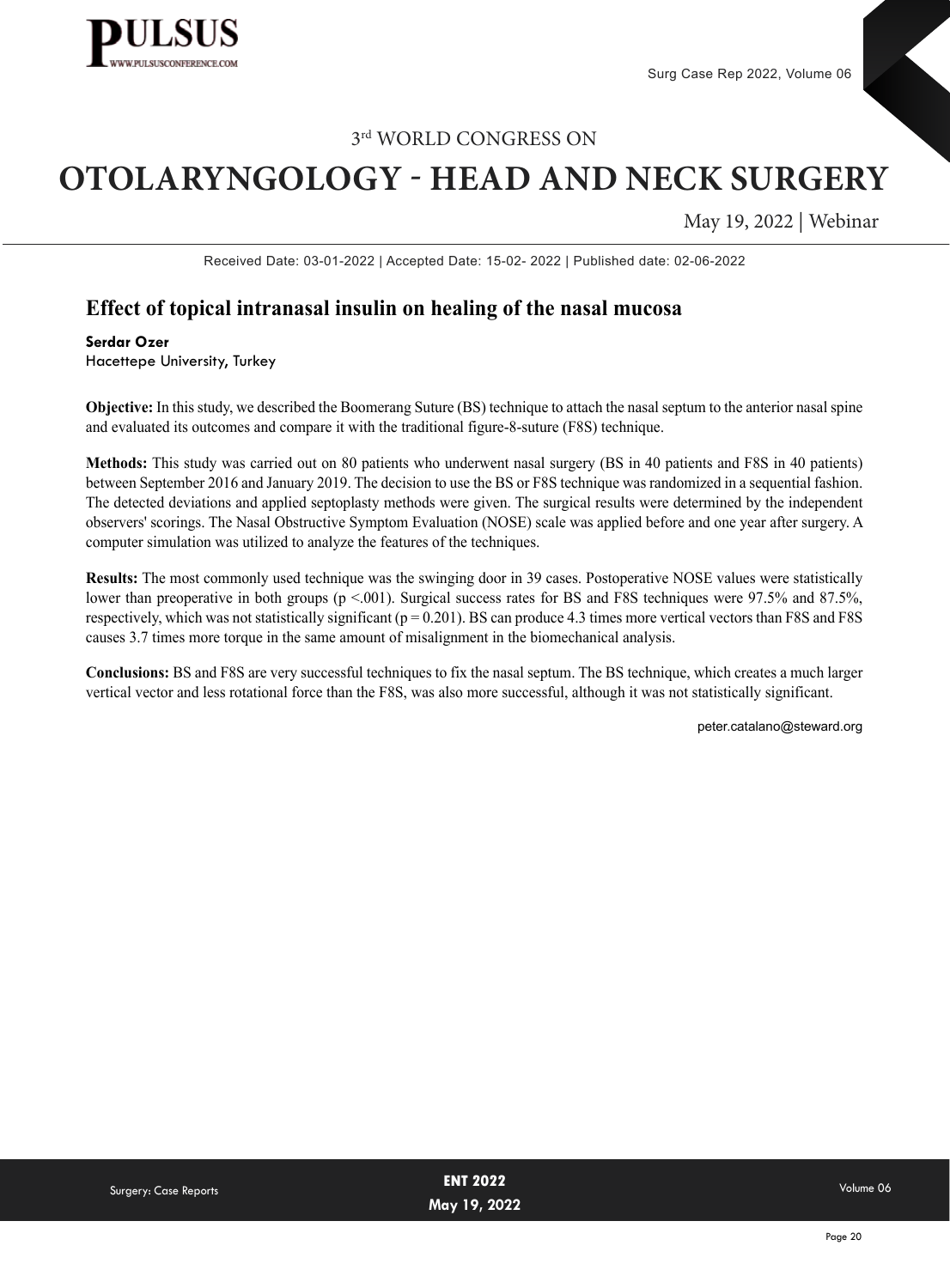

# **OTOLARYNGOLOGY - HEAD AND NECK SURGERY**

May 19, 2022 | Webinar

Received Date: 03-01-2022 | Accepted Date: 15-02- 2022 | Published date: 02-06-2022

## **Effect of topical intranasal insulin on healing of the nasal mucosa**

**Serdar Ozer** Hacettepe University, Turkey

**Objective:** In this study, we described the Boomerang Suture (BS) technique to attach the nasal septum to the anterior nasal spine and evaluated its outcomes and compare it with the traditional figure-8-suture (F8S) technique.

**Methods:** This study was carried out on 80 patients who underwent nasal surgery (BS in 40 patients and F8S in 40 patients) between September 2016 and January 2019. The decision to use the BS or F8S technique was randomized in a sequential fashion. The detected deviations and applied septoplasty methods were given. The surgical results were determined by the independent observers' scorings. The Nasal Obstructive Symptom Evaluation (NOSE) scale was applied before and one year after surgery. A computer simulation was utilized to analyze the features of the techniques.

**Results:** The most commonly used technique was the swinging door in 39 cases. Postoperative NOSE values were statistically lower than preoperative in both groups (p <.001). Surgical success rates for BS and F8S techniques were 97.5% and 87.5%, respectively, which was not statistically significant ( $p = 0.201$ ). BS can produce 4.3 times more vertical vectors than F8S and F8S causes 3.7 times more torque in the same amount of misalignment in the biomechanical analysis.

**Conclusions:** BS and F8S are very successful techniques to fix the nasal septum. The BS technique, which creates a much larger vertical vector and less rotational force than the F8S, was also more successful, although it was not statistically significant.

peter.catalano@steward.org

| Surgery: Case Reports | <b>ENT 2022</b> | Volume 06 |
|-----------------------|-----------------|-----------|
|                       | May 19, 2022    |           |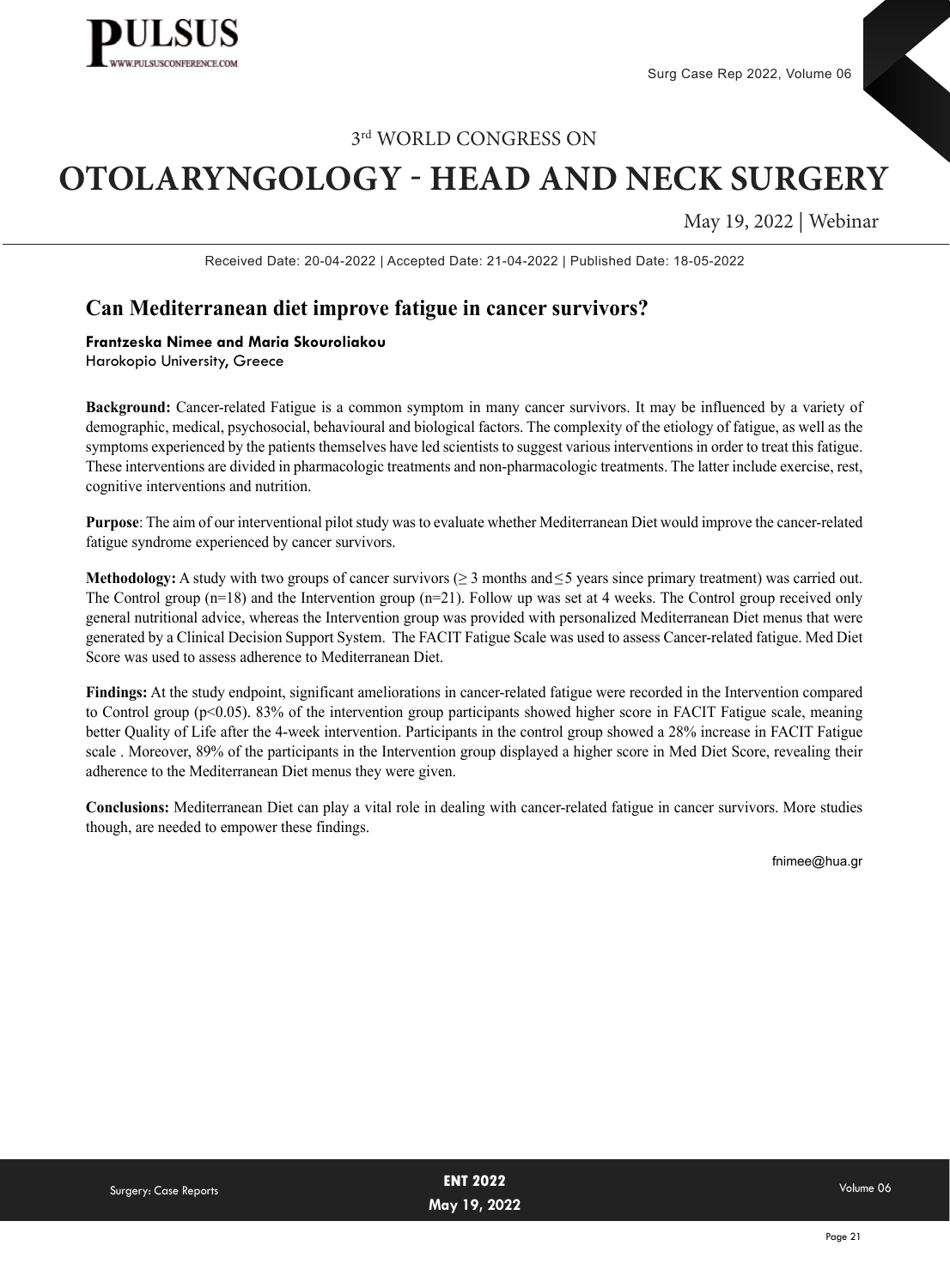

# **OTOLARYNGOLOGY - HEAD AND NECK SURGERY**

May 19, 2022 | Webinar

Received Date: 20-04-2022 | Accepted Date: 21-04-2022 | Published Date: 18-05-2022

## **Can Mediterranean diet improve fatigue in cancer survivors?**

#### **Frantzeska Nimee and Maria Skouroliakou**

Harokopio University, Greece

**Background:** Cancer-related Fatigue is a common symptom in many cancer survivors. It may be influenced by a variety of demographic, medical, psychosocial, behavioural and biological factors. The complexity of the etiology of fatigue, as well as the symptoms experienced by the patients themselves have led scientists to suggest various interventions in order to treat this fatigue. These interventions are divided in pharmacologic treatments and non-pharmacologic treatments. The latter include exercise, rest, cognitive interventions and nutrition.

**Purpose**: The aim of our interventional pilot study was to evaluate whether Mediterranean Diet would improve the cancer-related fatigue syndrome experienced by cancer survivors.

**Methodology:** A study with two groups of cancer survivors (≥ 3 months and≤5 years since primary treatment) was carried out. The Control group (n=18) and the Intervention group (n=21). Follow up was set at 4 weeks. The Control group received only general nutritional advice, whereas the Intervention group was provided with personalized Mediterranean Diet menus that were generated by a Clinical Decision Support System. The FACIT Fatigue Scale was used to assess Cancer-related fatigue. Med Diet Score was used to assess adherence to Mediterranean Diet.

**Findings:** At the study endpoint, significant ameliorations in cancer-related fatigue were recorded in the Intervention compared to Control group (p<0.05). 83% of the intervention group participants showed higher score in FACIT Fatigue scale, meaning better Quality of Life after the 4-week intervention. Participants in the control group showed a 28% increase in FACIT Fatigue scale . Moreover, 89% of the participants in the Intervention group displayed a higher score in Med Diet Score, revealing their adherence to the Mediterranean Diet menus they were given.

**Conclusions:** Mediterranean Diet can play a vital role in dealing with cancer-related fatigue in cancer survivors. More studies though, are needed to empower these findings.

fnimee@hua.gr

| <b>Surgery: Case Reports</b> | <b>ENT 2022</b> | Volume 06 |
|------------------------------|-----------------|-----------|
|                              | May 19, 2022    |           |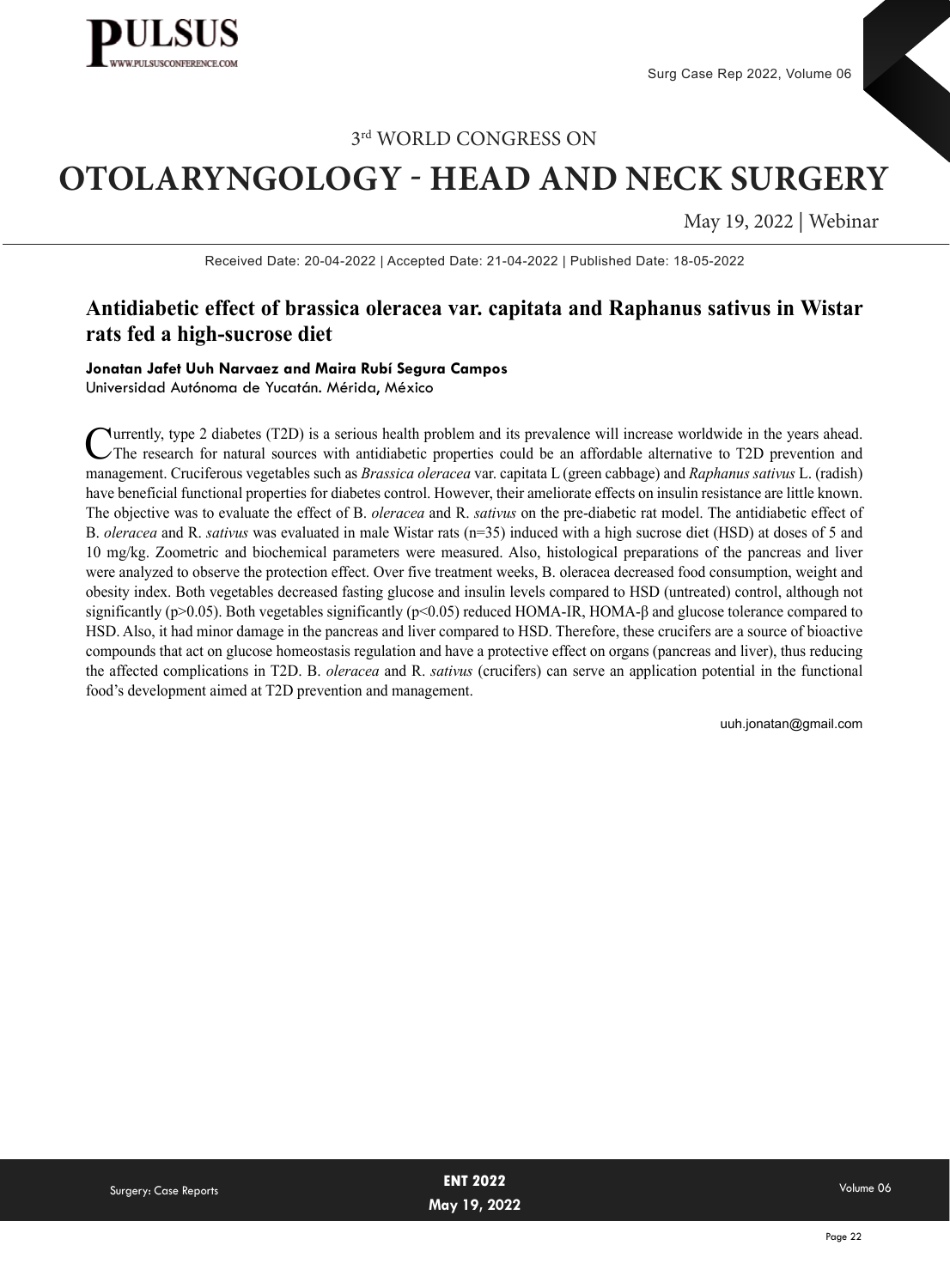

# **OTOLARYNGOLOGY - HEAD AND NECK SURGERY**

May 19, 2022 | Webinar

Received Date: 20-04-2022 | Accepted Date: 21-04-2022 | Published Date: 18-05-2022

## **Antidiabetic effect of brassica oleracea var. capitata and Raphanus sativus in Wistar rats fed a high-sucrose diet**

**Jonatan Jafet Uuh Narvaez and Maira Rubí Segura Campos** Universidad Autónoma de Yucatán. Mérida, México

Currently, type 2 diabetes (T2D) is a serious health problem and its prevalence will increase worldwide in the years ahead. The research for natural sources with antidiabetic properties could be an affordable alternative to T2D prevention and management. Cruciferous vegetables such as *Brassica oleracea* var. capitata L (green cabbage) and *Raphanus sativus* L. (radish) have beneficial functional properties for diabetes control. However, their ameliorate effects on insulin resistance are little known. The objective was to evaluate the effect of B. *oleracea* and R. *sativus* on the pre-diabetic rat model. The antidiabetic effect of B. *oleracea* and R. *sativus* was evaluated in male Wistar rats (n=35) induced with a high sucrose diet (HSD) at doses of 5 and 10 mg/kg. Zoometric and biochemical parameters were measured. Also, histological preparations of the pancreas and liver were analyzed to observe the protection effect. Over five treatment weeks, B. oleracea decreased food consumption, weight and obesity index. Both vegetables decreased fasting glucose and insulin levels compared to HSD (untreated) control, although not significantly (p>0.05). Both vegetables significantly (p<0.05) reduced HOMA-IR, HOMA-β and glucose tolerance compared to HSD. Also, it had minor damage in the pancreas and liver compared to HSD. Therefore, these crucifers are a source of bioactive compounds that act on glucose homeostasis regulation and have a protective effect on organs (pancreas and liver), thus reducing the affected complications in T2D. B. *oleracea* and R. *sativus* (crucifers) can serve an application potential in the functional food's development aimed at T2D prevention and management.

uuh.jonatan@gmail.com

|                              | <b>ENT 2022</b> | Volume 06 |
|------------------------------|-----------------|-----------|
| <b>Surgery: Case Reports</b> |                 |           |
|                              | May 19, 2022    |           |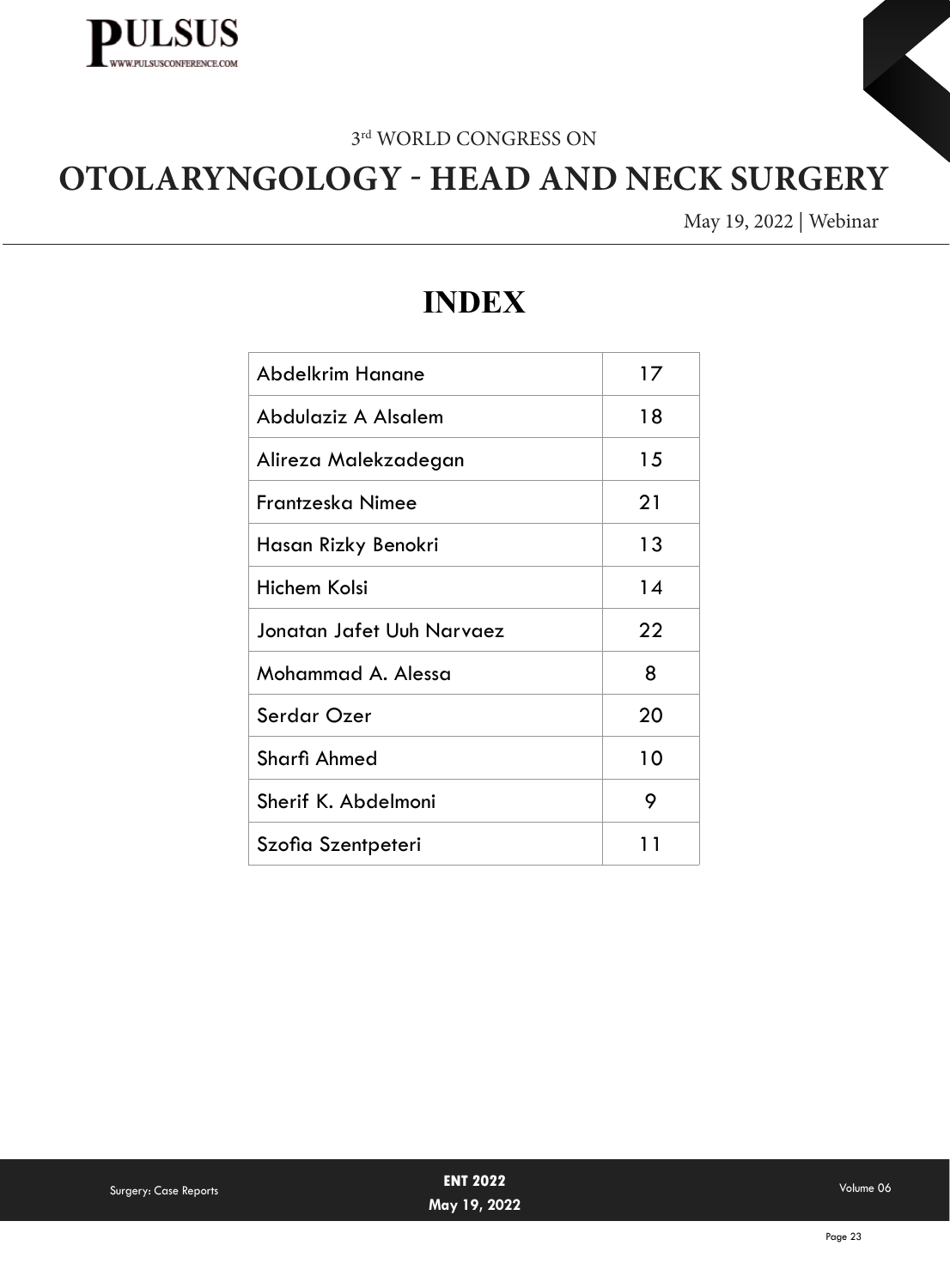

# **OTOLARYNGOLOGY - HEAD AND NECK SURGERY**

May 19, 2022 | Webinar

# **INDEX**

| Abdelkrim Hanane          | 17 |
|---------------------------|----|
| Abdulaziz A Alsalem       | 18 |
| Alireza Malekzadegan      | 15 |
| Frantzeska Nimee          | 21 |
| Hasan Rizky Benokri       | 13 |
| Hichem Kolsi              | 14 |
| Jonatan Jafet Uuh Narvaez | 22 |
| Mohammad A. Alessa        | 8  |
| Serdar Ozer               | 20 |
| Sharfi Ahmed              | 10 |
| Sherif K. Abdelmoni       | 9  |
| Szofia Szentpeteri        | 1  |

| Surgery: Case Reports | <b>ENT 2022</b><br>May 19, 2022 | Volume 06 |
|-----------------------|---------------------------------|-----------|
|                       |                                 |           |